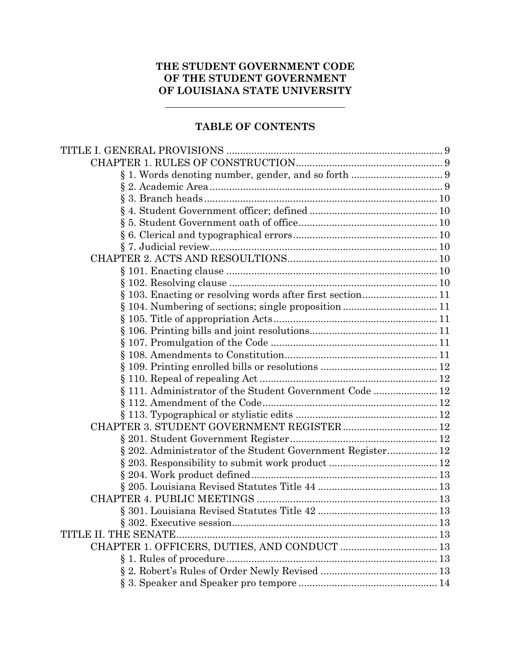# **THE STUDENT GOVERNMENT CODE OF THE STUDENT GOVERNMENT OF LOUISIANA STATE UNIVERSITY**

# **TABLE OF CONTENTS**

| § 103. Enacting or resolving words after first section 11  |  |
|------------------------------------------------------------|--|
|                                                            |  |
|                                                            |  |
|                                                            |  |
|                                                            |  |
|                                                            |  |
|                                                            |  |
|                                                            |  |
| § 111. Administrator of the Student Government Code  12    |  |
|                                                            |  |
|                                                            |  |
|                                                            |  |
|                                                            |  |
| § 202. Administrator of the Student Government Register 12 |  |
|                                                            |  |
|                                                            |  |
|                                                            |  |
|                                                            |  |
|                                                            |  |
|                                                            |  |
| TITLE II. THE SENATE                                       |  |
|                                                            |  |
| § 1. Rules of procedure                                    |  |
|                                                            |  |
|                                                            |  |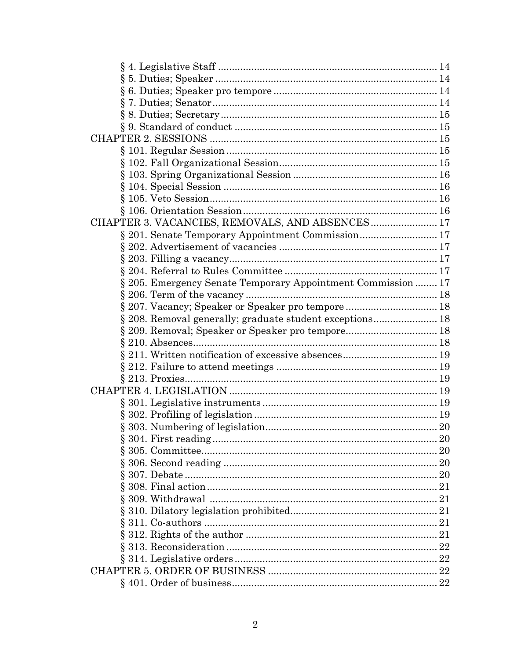| $\S 9. Standard of conduct 1.15$                            |  |
|-------------------------------------------------------------|--|
|                                                             |  |
|                                                             |  |
|                                                             |  |
|                                                             |  |
|                                                             |  |
|                                                             |  |
|                                                             |  |
| CHAPTER 3. VACANCIES, REMOVALS, AND ABSENCES 17             |  |
| § 201. Senate Temporary Appointment Commission 17           |  |
|                                                             |  |
|                                                             |  |
|                                                             |  |
| § 205. Emergency Senate Temporary Appointment Commission 17 |  |
|                                                             |  |
| § 207. Vacancy; Speaker or Speaker pro tempore  18          |  |
| § 208. Removal generally; graduate student exceptions 18    |  |
|                                                             |  |
|                                                             |  |
|                                                             |  |
|                                                             |  |
|                                                             |  |
|                                                             |  |
|                                                             |  |
|                                                             |  |
|                                                             |  |
|                                                             |  |
|                                                             |  |
|                                                             |  |
|                                                             |  |
|                                                             |  |
|                                                             |  |
|                                                             |  |
|                                                             |  |
|                                                             |  |
|                                                             |  |
|                                                             |  |
|                                                             |  |
|                                                             |  |
|                                                             |  |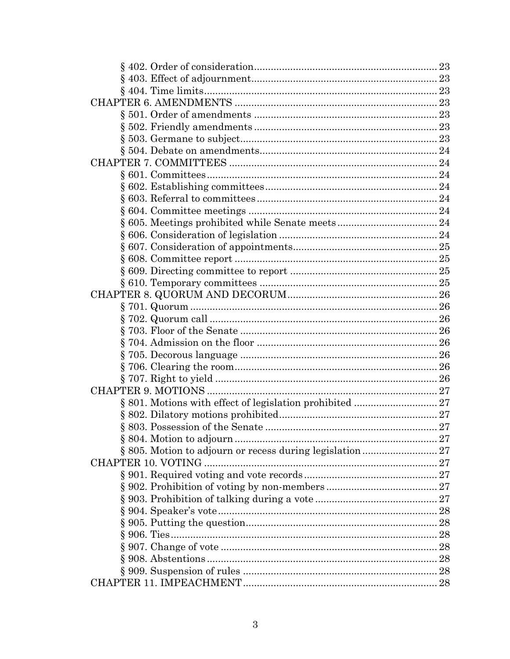| § 805. Motion to adjourn or recess during legislation 27 |  |
|----------------------------------------------------------|--|
| CHAPTER 10. VOTING                                       |  |
|                                                          |  |
|                                                          |  |
|                                                          |  |
|                                                          |  |
|                                                          |  |
|                                                          |  |
|                                                          |  |
|                                                          |  |
|                                                          |  |
|                                                          |  |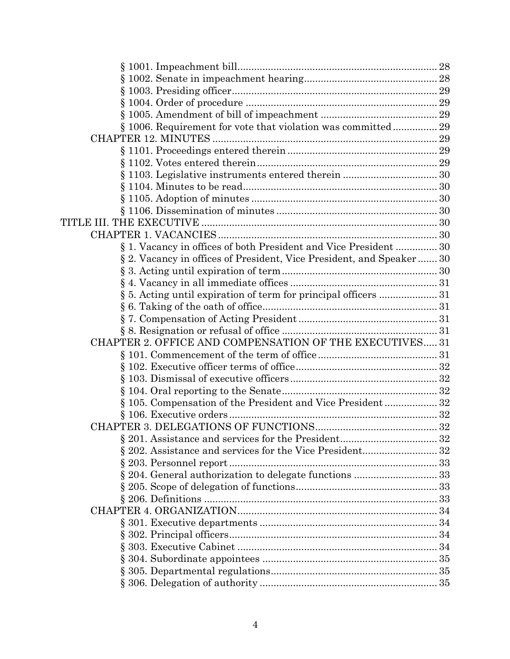| § 1006. Requirement for vote that violation was committed 29         |  |
|----------------------------------------------------------------------|--|
|                                                                      |  |
|                                                                      |  |
|                                                                      |  |
|                                                                      |  |
|                                                                      |  |
|                                                                      |  |
|                                                                      |  |
|                                                                      |  |
|                                                                      |  |
| § 1. Vacancy in offices of both President and Vice President  30     |  |
| § 2. Vacancy in offices of President, Vice President, and Speaker 30 |  |
|                                                                      |  |
|                                                                      |  |
|                                                                      |  |
|                                                                      |  |
|                                                                      |  |
|                                                                      |  |
| CHAPTER 2. OFFICE AND COMPENSATION OF THE EXECUTIVES 31              |  |
|                                                                      |  |
|                                                                      |  |
|                                                                      |  |
|                                                                      |  |
| § 105. Compensation of the President and Vice President32            |  |
|                                                                      |  |
|                                                                      |  |
|                                                                      |  |
|                                                                      |  |
|                                                                      |  |
|                                                                      |  |
|                                                                      |  |
|                                                                      |  |
|                                                                      |  |
|                                                                      |  |
|                                                                      |  |
|                                                                      |  |
|                                                                      |  |
|                                                                      |  |
|                                                                      |  |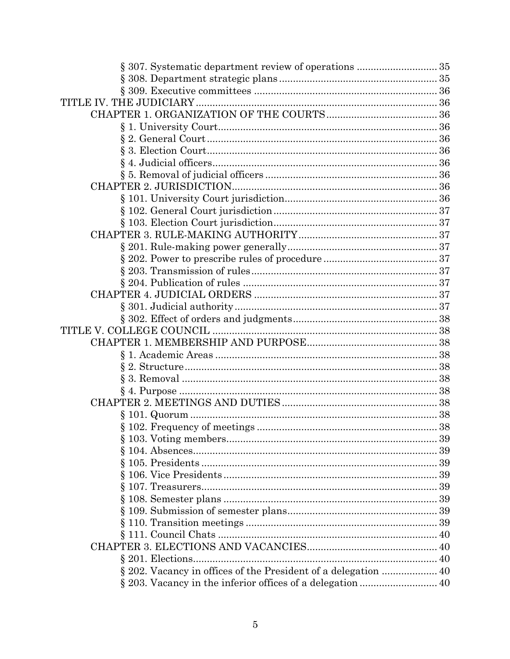| § 307. Systematic department review of operations  35 |  |
|-------------------------------------------------------|--|
|                                                       |  |
|                                                       |  |
|                                                       |  |
|                                                       |  |
|                                                       |  |
|                                                       |  |
|                                                       |  |
|                                                       |  |
|                                                       |  |
|                                                       |  |
|                                                       |  |
|                                                       |  |
|                                                       |  |
|                                                       |  |
|                                                       |  |
|                                                       |  |
|                                                       |  |
|                                                       |  |
|                                                       |  |
|                                                       |  |
|                                                       |  |
|                                                       |  |
|                                                       |  |
|                                                       |  |
|                                                       |  |
|                                                       |  |
|                                                       |  |
|                                                       |  |
|                                                       |  |
|                                                       |  |
|                                                       |  |
|                                                       |  |
|                                                       |  |
|                                                       |  |
|                                                       |  |
|                                                       |  |
|                                                       |  |
|                                                       |  |
|                                                       |  |
|                                                       |  |
|                                                       |  |
|                                                       |  |
|                                                       |  |
|                                                       |  |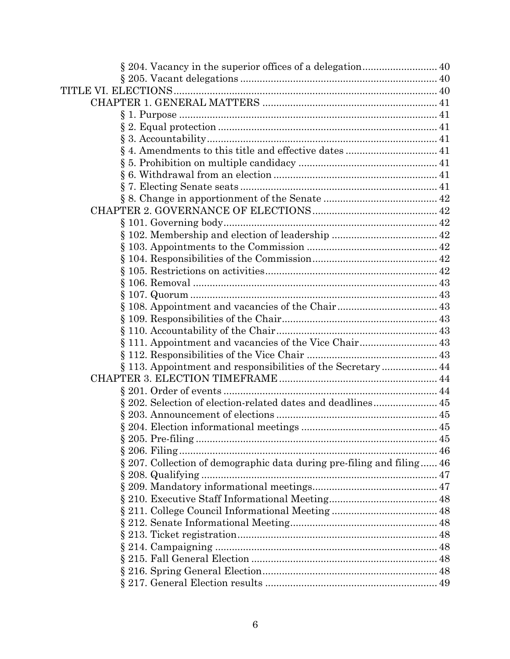| ş                                                                     |  |
|-----------------------------------------------------------------------|--|
|                                                                       |  |
|                                                                       |  |
|                                                                       |  |
|                                                                       |  |
| § 111. Appointment and vacancies of the Vice Chair 43                 |  |
|                                                                       |  |
| § 113. Appointment and responsibilities of the Secretary 44           |  |
|                                                                       |  |
|                                                                       |  |
| § 202. Selection of election-related dates and deadlines 45           |  |
|                                                                       |  |
|                                                                       |  |
|                                                                       |  |
|                                                                       |  |
| § 207. Collection of demographic data during pre-filing and filing 46 |  |
|                                                                       |  |
|                                                                       |  |
|                                                                       |  |
|                                                                       |  |
|                                                                       |  |
|                                                                       |  |
|                                                                       |  |
|                                                                       |  |
|                                                                       |  |
|                                                                       |  |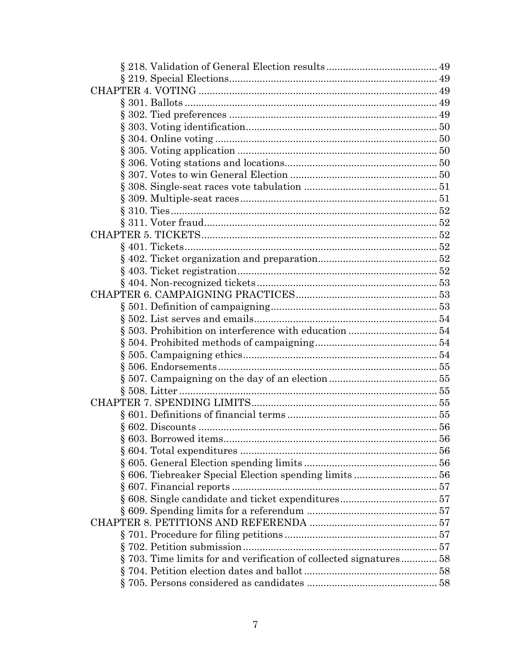| §703. Time limits for and verification of collected signatures58 |  |
|------------------------------------------------------------------|--|
|                                                                  |  |
|                                                                  |  |
|                                                                  |  |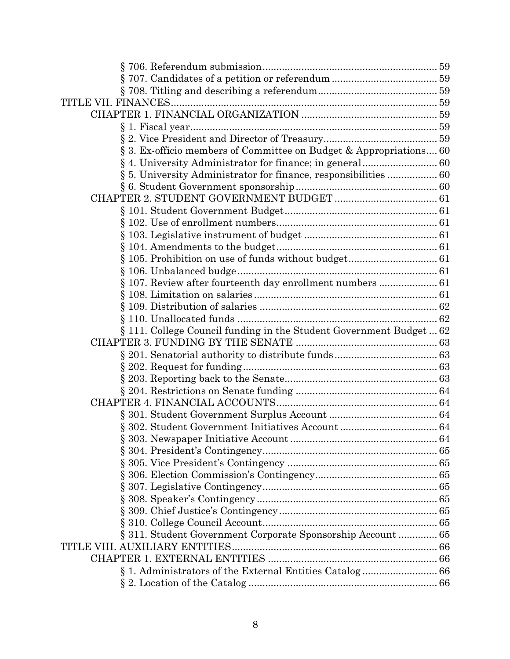| § 3. Ex-officio members of Committee on Budget & Appropriations 60  |  |
|---------------------------------------------------------------------|--|
|                                                                     |  |
| § 5. University Administrator for finance, responsibilities  60     |  |
|                                                                     |  |
|                                                                     |  |
|                                                                     |  |
|                                                                     |  |
|                                                                     |  |
|                                                                     |  |
|                                                                     |  |
|                                                                     |  |
| § 107. Review after fourteenth day enrollment numbers  61           |  |
|                                                                     |  |
|                                                                     |  |
|                                                                     |  |
| § 111. College Council funding in the Student Government Budget  62 |  |
|                                                                     |  |
|                                                                     |  |
|                                                                     |  |
|                                                                     |  |
|                                                                     |  |
|                                                                     |  |
|                                                                     |  |
|                                                                     |  |
|                                                                     |  |
|                                                                     |  |
|                                                                     |  |
|                                                                     |  |
|                                                                     |  |
|                                                                     |  |
|                                                                     |  |
|                                                                     |  |
| § 311. Student Government Corporate Sponsorship Account  65         |  |
|                                                                     |  |
|                                                                     |  |
|                                                                     |  |
|                                                                     |  |
|                                                                     |  |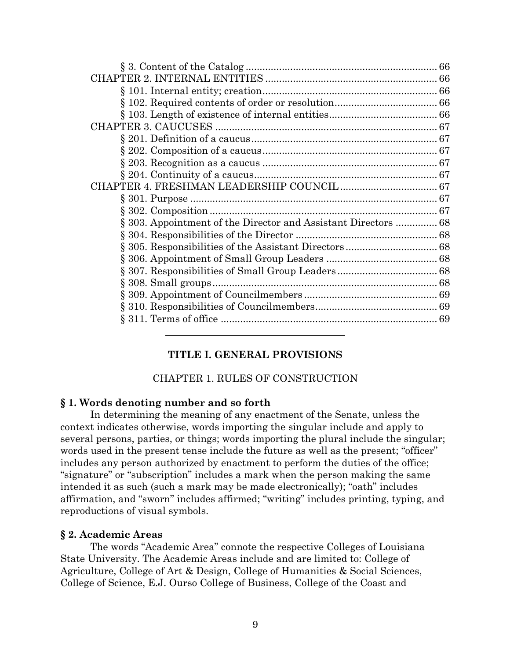| § 303. Appointment of the Director and Assistant Directors  68 |
|----------------------------------------------------------------|
|                                                                |
|                                                                |
|                                                                |
|                                                                |
|                                                                |
|                                                                |
|                                                                |
|                                                                |
|                                                                |

## **TITLE I. GENERAL PROVISIONS**

### CHAPTER 1. RULES OF CONSTRUCTION

### **§ 1. Words denoting number and so forth**

In determining the meaning of any enactment of the Senate, unless the context indicates otherwise, words importing the singular include and apply to several persons, parties, or things; words importing the plural include the singular; words used in the present tense include the future as well as the present; "officer" includes any person authorized by enactment to perform the duties of the office; "signature" or "subscription" includes a mark when the person making the same intended it as such (such a mark may be made electronically); "oath" includes affirmation, and "sworn" includes affirmed; "writing" includes printing, typing, and reproductions of visual symbols.

### **§ 2. Academic Areas**

The words "Academic Area" connote the respective Colleges of Louisiana State University. The Academic Areas include and are limited to: College of Agriculture, College of Art & Design, College of Humanities & Social Sciences, College of Science, E.J. Ourso College of Business, College of the Coast and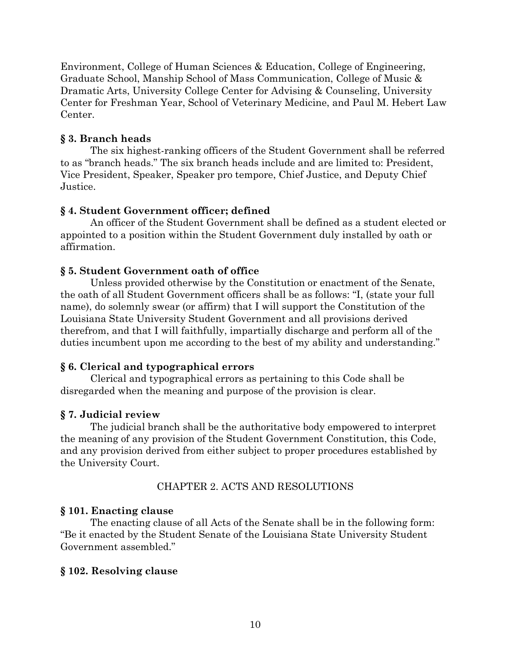Environment, College of Human Sciences & Education, College of Engineering, Graduate School, Manship School of Mass Communication, College of Music & Dramatic Arts, University College Center for Advising & Counseling, University Center for Freshman Year, School of Veterinary Medicine, and Paul M. Hebert Law Center.

## **§ 3. Branch heads**

The six highest-ranking officers of the Student Government shall be referred to as "branch heads." The six branch heads include and are limited to: President, Vice President, Speaker, Speaker pro tempore, Chief Justice, and Deputy Chief Justice.

## **§ 4. Student Government officer; defined**

An officer of the Student Government shall be defined as a student elected or appointed to a position within the Student Government duly installed by oath or affirmation.

## **§ 5. Student Government oath of office**

Unless provided otherwise by the Constitution or enactment of the Senate, the oath of all Student Government officers shall be as follows: "I, (state your full name), do solemnly swear (or affirm) that I will support the Constitution of the Louisiana State University Student Government and all provisions derived therefrom, and that I will faithfully, impartially discharge and perform all of the duties incumbent upon me according to the best of my ability and understanding."

## **§ 6. Clerical and typographical errors**

Clerical and typographical errors as pertaining to this Code shall be disregarded when the meaning and purpose of the provision is clear.

## **§ 7. Judicial review**

The judicial branch shall be the authoritative body empowered to interpret the meaning of any provision of the Student Government Constitution, this Code, and any provision derived from either subject to proper procedures established by the University Court.

## CHAPTER 2. ACTS AND RESOLUTIONS

## **§ 101. Enacting clause**

The enacting clause of all Acts of the Senate shall be in the following form: "Be it enacted by the Student Senate of the Louisiana State University Student Government assembled."

## **§ 102. Resolving clause**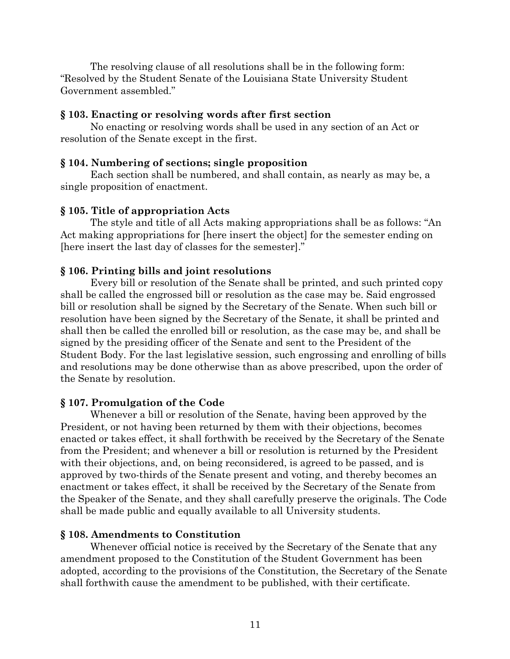The resolving clause of all resolutions shall be in the following form: "Resolved by the Student Senate of the Louisiana State University Student Government assembled."

## **§ 103. Enacting or resolving words after first section**

No enacting or resolving words shall be used in any section of an Act or resolution of the Senate except in the first.

## **§ 104. Numbering of sections; single proposition**

Each section shall be numbered, and shall contain, as nearly as may be, a single proposition of enactment.

## **§ 105. Title of appropriation Acts**

The style and title of all Acts making appropriations shall be as follows: "An Act making appropriations for [here insert the object] for the semester ending on [here insert the last day of classes for the semester]."

## **§ 106. Printing bills and joint resolutions**

Every bill or resolution of the Senate shall be printed, and such printed copy shall be called the engrossed bill or resolution as the case may be. Said engrossed bill or resolution shall be signed by the Secretary of the Senate. When such bill or resolution have been signed by the Secretary of the Senate, it shall be printed and shall then be called the enrolled bill or resolution, as the case may be, and shall be signed by the presiding officer of the Senate and sent to the President of the Student Body. For the last legislative session, such engrossing and enrolling of bills and resolutions may be done otherwise than as above prescribed, upon the order of the Senate by resolution.

## **§ 107. Promulgation of the Code**

Whenever a bill or resolution of the Senate, having been approved by the President, or not having been returned by them with their objections, becomes enacted or takes effect, it shall forthwith be received by the Secretary of the Senate from the President; and whenever a bill or resolution is returned by the President with their objections, and, on being reconsidered, is agreed to be passed, and is approved by two-thirds of the Senate present and voting, and thereby becomes an enactment or takes effect, it shall be received by the Secretary of the Senate from the Speaker of the Senate, and they shall carefully preserve the originals. The Code shall be made public and equally available to all University students.

## **§ 108. Amendments to Constitution**

Whenever official notice is received by the Secretary of the Senate that any amendment proposed to the Constitution of the Student Government has been adopted, according to the provisions of the Constitution, the Secretary of the Senate shall forthwith cause the amendment to be published, with their certificate.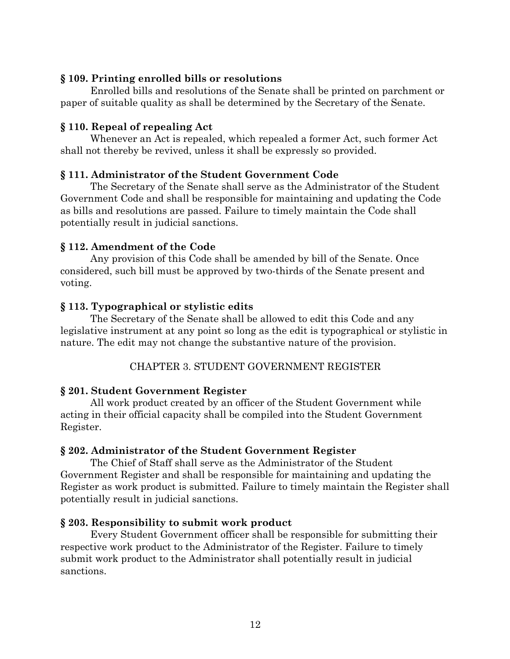# **§ 109. Printing enrolled bills or resolutions**

Enrolled bills and resolutions of the Senate shall be printed on parchment or paper of suitable quality as shall be determined by the Secretary of the Senate.

## **§ 110. Repeal of repealing Act**

Whenever an Act is repealed, which repealed a former Act, such former Act shall not thereby be revived, unless it shall be expressly so provided.

# **§ 111. Administrator of the Student Government Code**

The Secretary of the Senate shall serve as the Administrator of the Student Government Code and shall be responsible for maintaining and updating the Code as bills and resolutions are passed. Failure to timely maintain the Code shall potentially result in judicial sanctions.

# **§ 112. Amendment of the Code**

Any provision of this Code shall be amended by bill of the Senate. Once considered, such bill must be approved by two-thirds of the Senate present and voting.

# **§ 113. Typographical or stylistic edits**

The Secretary of the Senate shall be allowed to edit this Code and any legislative instrument at any point so long as the edit is typographical or stylistic in nature. The edit may not change the substantive nature of the provision.

# CHAPTER 3. STUDENT GOVERNMENT REGISTER

# **§ 201. Student Government Register**

All work product created by an officer of the Student Government while acting in their official capacity shall be compiled into the Student Government Register.

## **§ 202. Administrator of the Student Government Register**

The Chief of Staff shall serve as the Administrator of the Student Government Register and shall be responsible for maintaining and updating the Register as work product is submitted. Failure to timely maintain the Register shall potentially result in judicial sanctions.

## **§ 203. Responsibility to submit work product**

Every Student Government officer shall be responsible for submitting their respective work product to the Administrator of the Register. Failure to timely submit work product to the Administrator shall potentially result in judicial sanctions.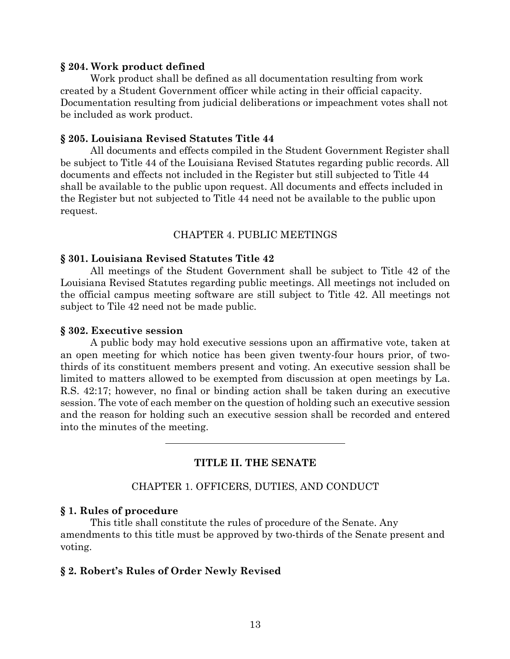#### **§ 204. Work product defined**

Work product shall be defined as all documentation resulting from work created by a Student Government officer while acting in their official capacity. Documentation resulting from judicial deliberations or impeachment votes shall not be included as work product.

#### **§ 205. Louisiana Revised Statutes Title 44**

All documents and effects compiled in the Student Government Register shall be subject to Title 44 of the Louisiana Revised Statutes regarding public records. All documents and effects not included in the Register but still subjected to Title 44 shall be available to the public upon request. All documents and effects included in the Register but not subjected to Title 44 need not be available to the public upon request.

### CHAPTER 4. PUBLIC MEETINGS

#### **§ 301. Louisiana Revised Statutes Title 42**

All meetings of the Student Government shall be subject to Title 42 of the Louisiana Revised Statutes regarding public meetings. All meetings not included on the official campus meeting software are still subject to Title 42. All meetings not subject to Tile 42 need not be made public.

#### **§ 302. Executive session**

A public body may hold executive sessions upon an affirmative vote, taken at an open meeting for which notice has been given twenty-four hours prior, of twothirds of its constituent members present and voting. An executive session shall be limited to matters allowed to be exempted from discussion at open meetings by La. R.S. 42:17; however, no final or binding action shall be taken during an executive session. The vote of each member on the question of holding such an executive session and the reason for holding such an executive session shall be recorded and entered into the minutes of the meeting.

## **TITLE II. THE SENATE**

### CHAPTER 1. OFFICERS, DUTIES, AND CONDUCT

#### **§ 1. Rules of procedure**

This title shall constitute the rules of procedure of the Senate. Any amendments to this title must be approved by two-thirds of the Senate present and voting.

#### **§ 2. Robert's Rules of Order Newly Revised**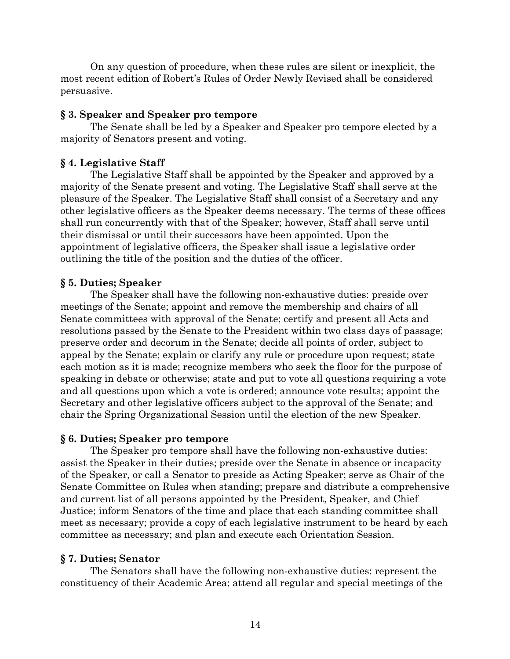On any question of procedure, when these rules are silent or inexplicit, the most recent edition of Robert's Rules of Order Newly Revised shall be considered persuasive.

### **§ 3. Speaker and Speaker pro tempore**

The Senate shall be led by a Speaker and Speaker pro tempore elected by a majority of Senators present and voting.

## **§ 4. Legislative Staff**

The Legislative Staff shall be appointed by the Speaker and approved by a majority of the Senate present and voting. The Legislative Staff shall serve at the pleasure of the Speaker. The Legislative Staff shall consist of a Secretary and any other legislative officers as the Speaker deems necessary. The terms of these offices shall run concurrently with that of the Speaker; however, Staff shall serve until their dismissal or until their successors have been appointed. Upon the appointment of legislative officers, the Speaker shall issue a legislative order outlining the title of the position and the duties of the officer.

# **§ 5. Duties; Speaker**

The Speaker shall have the following non-exhaustive duties: preside over meetings of the Senate; appoint and remove the membership and chairs of all Senate committees with approval of the Senate; certify and present all Acts and resolutions passed by the Senate to the President within two class days of passage; preserve order and decorum in the Senate; decide all points of order, subject to appeal by the Senate; explain or clarify any rule or procedure upon request; state each motion as it is made; recognize members who seek the floor for the purpose of speaking in debate or otherwise; state and put to vote all questions requiring a vote and all questions upon which a vote is ordered; announce vote results; appoint the Secretary and other legislative officers subject to the approval of the Senate; and chair the Spring Organizational Session until the election of the new Speaker.

## **§ 6. Duties; Speaker pro tempore**

The Speaker pro tempore shall have the following non-exhaustive duties: assist the Speaker in their duties; preside over the Senate in absence or incapacity of the Speaker, or call a Senator to preside as Acting Speaker; serve as Chair of the Senate Committee on Rules when standing; prepare and distribute a comprehensive and current list of all persons appointed by the President, Speaker, and Chief Justice; inform Senators of the time and place that each standing committee shall meet as necessary; provide a copy of each legislative instrument to be heard by each committee as necessary; and plan and execute each Orientation Session.

# **§ 7. Duties; Senator**

The Senators shall have the following non-exhaustive duties: represent the constituency of their Academic Area; attend all regular and special meetings of the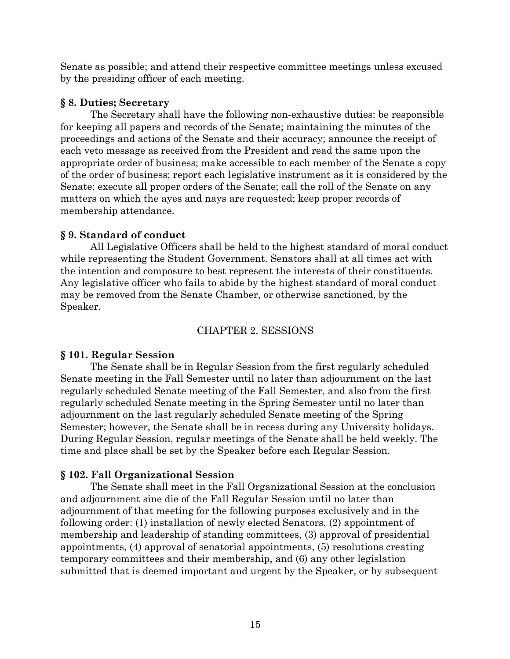Senate as possible; and attend their respective committee meetings unless excused by the presiding officer of each meeting.

# **§ 8. Duties; Secretary**

The Secretary shall have the following non-exhaustive duties: be responsible for keeping all papers and records of the Senate; maintaining the minutes of the proceedings and actions of the Senate and their accuracy; announce the receipt of each veto message as received from the President and read the same upon the appropriate order of business; make accessible to each member of the Senate a copy of the order of business; report each legislative instrument as it is considered by the Senate; execute all proper orders of the Senate; call the roll of the Senate on any matters on which the ayes and nays are requested; keep proper records of membership attendance.

# **§ 9. Standard of conduct**

All Legislative Officers shall be held to the highest standard of moral conduct while representing the Student Government. Senators shall at all times act with the intention and composure to best represent the interests of their constituents. Any legislative officer who fails to abide by the highest standard of moral conduct may be removed from the Senate Chamber, or otherwise sanctioned, by the Speaker.

# CHAPTER 2. SESSIONS

# **§ 101. Regular Session**

The Senate shall be in Regular Session from the first regularly scheduled Senate meeting in the Fall Semester until no later than adjournment on the last regularly scheduled Senate meeting of the Fall Semester, and also from the first regularly scheduled Senate meeting in the Spring Semester until no later than adjournment on the last regularly scheduled Senate meeting of the Spring Semester; however, the Senate shall be in recess during any University holidays. During Regular Session, regular meetings of the Senate shall be held weekly. The time and place shall be set by the Speaker before each Regular Session.

# **§ 102. Fall Organizational Session**

The Senate shall meet in the Fall Organizational Session at the conclusion and adjournment sine die of the Fall Regular Session until no later than adjournment of that meeting for the following purposes exclusively and in the following order: (1) installation of newly elected Senators, (2) appointment of membership and leadership of standing committees, (3) approval of presidential appointments, (4) approval of senatorial appointments, (5) resolutions creating temporary committees and their membership, and (6) any other legislation submitted that is deemed important and urgent by the Speaker, or by subsequent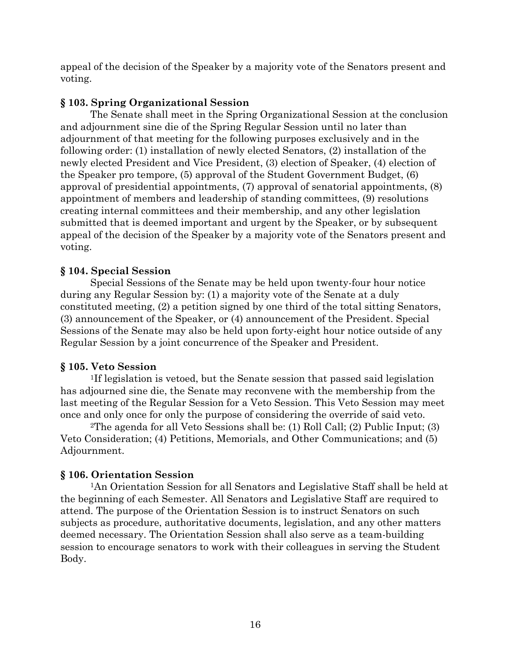appeal of the decision of the Speaker by a majority vote of the Senators present and voting.

# **§ 103. Spring Organizational Session**

The Senate shall meet in the Spring Organizational Session at the conclusion and adjournment sine die of the Spring Regular Session until no later than adjournment of that meeting for the following purposes exclusively and in the following order: (1) installation of newly elected Senators, (2) installation of the newly elected President and Vice President, (3) election of Speaker, (4) election of the Speaker pro tempore, (5) approval of the Student Government Budget, (6) approval of presidential appointments, (7) approval of senatorial appointments, (8) appointment of members and leadership of standing committees, (9) resolutions creating internal committees and their membership, and any other legislation submitted that is deemed important and urgent by the Speaker, or by subsequent appeal of the decision of the Speaker by a majority vote of the Senators present and voting.

# **§ 104. Special Session**

Special Sessions of the Senate may be held upon twenty-four hour notice during any Regular Session by: (1) a majority vote of the Senate at a duly constituted meeting, (2) a petition signed by one third of the total sitting Senators, (3) announcement of the Speaker, or (4) announcement of the President. Special Sessions of the Senate may also be held upon forty-eight hour notice outside of any Regular Session by a joint concurrence of the Speaker and President.

## **§ 105. Veto Session**

1If legislation is vetoed, but the Senate session that passed said legislation has adjourned sine die, the Senate may reconvene with the membership from the last meeting of the Regular Session for a Veto Session. This Veto Session may meet once and only once for only the purpose of considering the override of said veto.

2The agenda for all Veto Sessions shall be: (1) Roll Call; (2) Public Input; (3) Veto Consideration; (4) Petitions, Memorials, and Other Communications; and (5) Adjournment.

## **§ 106. Orientation Session**

1An Orientation Session for all Senators and Legislative Staff shall be held at the beginning of each Semester. All Senators and Legislative Staff are required to attend. The purpose of the Orientation Session is to instruct Senators on such subjects as procedure, authoritative documents, legislation, and any other matters deemed necessary. The Orientation Session shall also serve as a team-building session to encourage senators to work with their colleagues in serving the Student Body.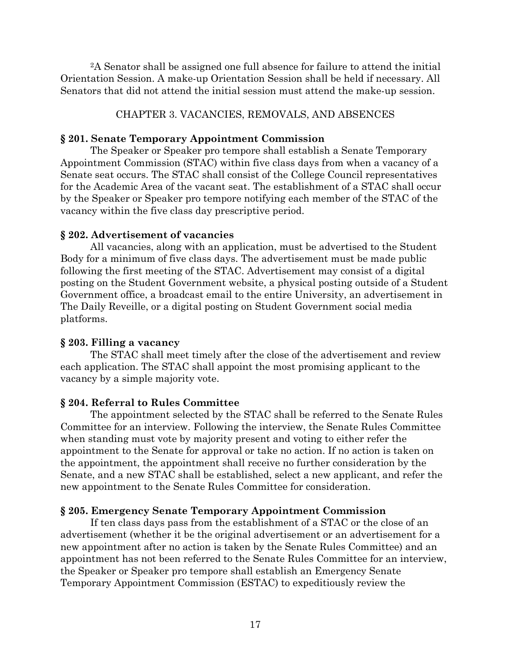2A Senator shall be assigned one full absence for failure to attend the initial Orientation Session. A make-up Orientation Session shall be held if necessary. All Senators that did not attend the initial session must attend the make-up session.

## CHAPTER 3. VACANCIES, REMOVALS, AND ABSENCES

### **§ 201. Senate Temporary Appointment Commission**

The Speaker or Speaker pro tempore shall establish a Senate Temporary Appointment Commission (STAC) within five class days from when a vacancy of a Senate seat occurs. The STAC shall consist of the College Council representatives for the Academic Area of the vacant seat. The establishment of a STAC shall occur by the Speaker or Speaker pro tempore notifying each member of the STAC of the vacancy within the five class day prescriptive period.

## **§ 202. Advertisement of vacancies**

All vacancies, along with an application, must be advertised to the Student Body for a minimum of five class days. The advertisement must be made public following the first meeting of the STAC. Advertisement may consist of a digital posting on the Student Government website, a physical posting outside of a Student Government office, a broadcast email to the entire University, an advertisement in The Daily Reveille, or a digital posting on Student Government social media platforms.

### **§ 203. Filling a vacancy**

The STAC shall meet timely after the close of the advertisement and review each application. The STAC shall appoint the most promising applicant to the vacancy by a simple majority vote.

## **§ 204. Referral to Rules Committee**

The appointment selected by the STAC shall be referred to the Senate Rules Committee for an interview. Following the interview, the Senate Rules Committee when standing must vote by majority present and voting to either refer the appointment to the Senate for approval or take no action. If no action is taken on the appointment, the appointment shall receive no further consideration by the Senate, and a new STAC shall be established, select a new applicant, and refer the new appointment to the Senate Rules Committee for consideration.

## **§ 205. Emergency Senate Temporary Appointment Commission**

If ten class days pass from the establishment of a STAC or the close of an advertisement (whether it be the original advertisement or an advertisement for a new appointment after no action is taken by the Senate Rules Committee) and an appointment has not been referred to the Senate Rules Committee for an interview, the Speaker or Speaker pro tempore shall establish an Emergency Senate Temporary Appointment Commission (ESTAC) to expeditiously review the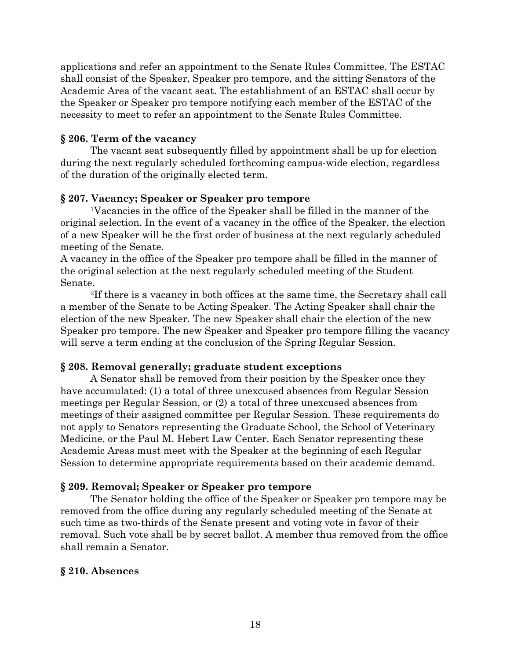applications and refer an appointment to the Senate Rules Committee. The ESTAC shall consist of the Speaker, Speaker pro tempore, and the sitting Senators of the Academic Area of the vacant seat. The establishment of an ESTAC shall occur by the Speaker or Speaker pro tempore notifying each member of the ESTAC of the necessity to meet to refer an appointment to the Senate Rules Committee.

## **§ 206. Term of the vacancy**

The vacant seat subsequently filled by appointment shall be up for election during the next regularly scheduled forthcoming campus-wide election, regardless of the duration of the originally elected term.

## **§ 207. Vacancy; Speaker or Speaker pro tempore**

1Vacancies in the office of the Speaker shall be filled in the manner of the original selection. In the event of a vacancy in the office of the Speaker, the election of a new Speaker will be the first order of business at the next regularly scheduled meeting of the Senate.

A vacancy in the office of the Speaker pro tempore shall be filled in the manner of the original selection at the next regularly scheduled meeting of the Student Senate.

2If there is a vacancy in both offices at the same time, the Secretary shall call a member of the Senate to be Acting Speaker. The Acting Speaker shall chair the election of the new Speaker. The new Speaker shall chair the election of the new Speaker pro tempore. The new Speaker and Speaker pro tempore filling the vacancy will serve a term ending at the conclusion of the Spring Regular Session.

## **§ 208. Removal generally; graduate student exceptions**

A Senator shall be removed from their position by the Speaker once they have accumulated: (1) a total of three unexcused absences from Regular Session meetings per Regular Session, or (2) a total of three unexcused absences from meetings of their assigned committee per Regular Session. These requirements do not apply to Senators representing the Graduate School, the School of Veterinary Medicine, or the Paul M. Hebert Law Center. Each Senator representing these Academic Areas must meet with the Speaker at the beginning of each Regular Session to determine appropriate requirements based on their academic demand.

## **§ 209. Removal; Speaker or Speaker pro tempore**

The Senator holding the office of the Speaker or Speaker pro tempore may be removed from the office during any regularly scheduled meeting of the Senate at such time as two-thirds of the Senate present and voting vote in favor of their removal. Such vote shall be by secret ballot. A member thus removed from the office shall remain a Senator.

## **§ 210. Absences**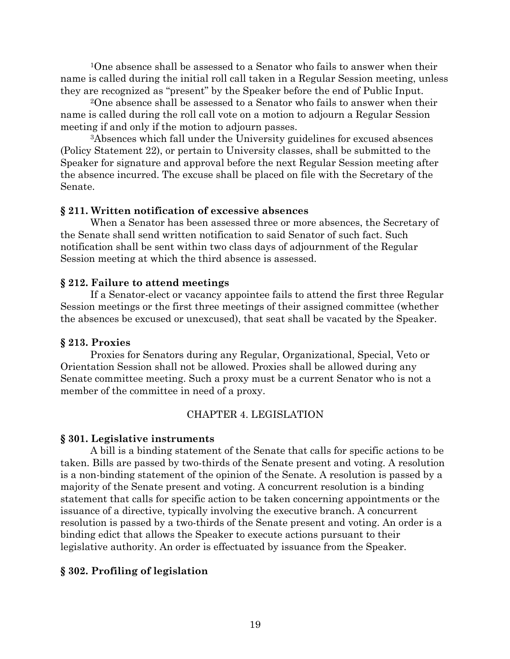<sup>1</sup>One absence shall be assessed to a Senator who fails to answer when their name is called during the initial roll call taken in a Regular Session meeting, unless they are recognized as "present" by the Speaker before the end of Public Input.

2One absence shall be assessed to a Senator who fails to answer when their name is called during the roll call vote on a motion to adjourn a Regular Session meeting if and only if the motion to adjourn passes.

3Absences which fall under the University guidelines for excused absences (Policy Statement 22), or pertain to University classes, shall be submitted to the Speaker for signature and approval before the next Regular Session meeting after the absence incurred. The excuse shall be placed on file with the Secretary of the Senate.

## **§ 211. Written notification of excessive absences**

When a Senator has been assessed three or more absences, the Secretary of the Senate shall send written notification to said Senator of such fact. Such notification shall be sent within two class days of adjournment of the Regular Session meeting at which the third absence is assessed.

# **§ 212. Failure to attend meetings**

If a Senator-elect or vacancy appointee fails to attend the first three Regular Session meetings or the first three meetings of their assigned committee (whether the absences be excused or unexcused), that seat shall be vacated by the Speaker.

# **§ 213. Proxies**

Proxies for Senators during any Regular, Organizational, Special, Veto or Orientation Session shall not be allowed. Proxies shall be allowed during any Senate committee meeting. Such a proxy must be a current Senator who is not a member of the committee in need of a proxy.

# CHAPTER 4. LEGISLATION

# **§ 301. Legislative instruments**

A bill is a binding statement of the Senate that calls for specific actions to be taken. Bills are passed by two-thirds of the Senate present and voting. A resolution is a non-binding statement of the opinion of the Senate. A resolution is passed by a majority of the Senate present and voting. A concurrent resolution is a binding statement that calls for specific action to be taken concerning appointments or the issuance of a directive, typically involving the executive branch. A concurrent resolution is passed by a two-thirds of the Senate present and voting. An order is a binding edict that allows the Speaker to execute actions pursuant to their legislative authority. An order is effectuated by issuance from the Speaker.

# **§ 302. Profiling of legislation**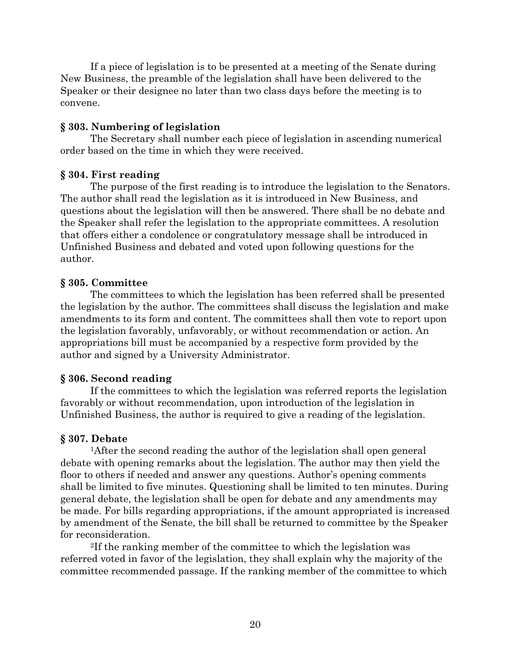If a piece of legislation is to be presented at a meeting of the Senate during New Business, the preamble of the legislation shall have been delivered to the Speaker or their designee no later than two class days before the meeting is to convene.

### **§ 303. Numbering of legislation**

The Secretary shall number each piece of legislation in ascending numerical order based on the time in which they were received.

#### **§ 304. First reading**

The purpose of the first reading is to introduce the legislation to the Senators. The author shall read the legislation as it is introduced in New Business, and questions about the legislation will then be answered. There shall be no debate and the Speaker shall refer the legislation to the appropriate committees. A resolution that offers either a condolence or congratulatory message shall be introduced in Unfinished Business and debated and voted upon following questions for the author.

#### **§ 305. Committee**

The committees to which the legislation has been referred shall be presented the legislation by the author. The committees shall discuss the legislation and make amendments to its form and content. The committees shall then vote to report upon the legislation favorably, unfavorably, or without recommendation or action. An appropriations bill must be accompanied by a respective form provided by the author and signed by a University Administrator.

#### **§ 306. Second reading**

If the committees to which the legislation was referred reports the legislation favorably or without recommendation, upon introduction of the legislation in Unfinished Business, the author is required to give a reading of the legislation.

#### **§ 307. Debate**

1After the second reading the author of the legislation shall open general debate with opening remarks about the legislation. The author may then yield the floor to others if needed and answer any questions. Author's opening comments shall be limited to five minutes. Questioning shall be limited to ten minutes. During general debate, the legislation shall be open for debate and any amendments may be made. For bills regarding appropriations, if the amount appropriated is increased by amendment of the Senate, the bill shall be returned to committee by the Speaker for reconsideration.

2If the ranking member of the committee to which the legislation was referred voted in favor of the legislation, they shall explain why the majority of the committee recommended passage. If the ranking member of the committee to which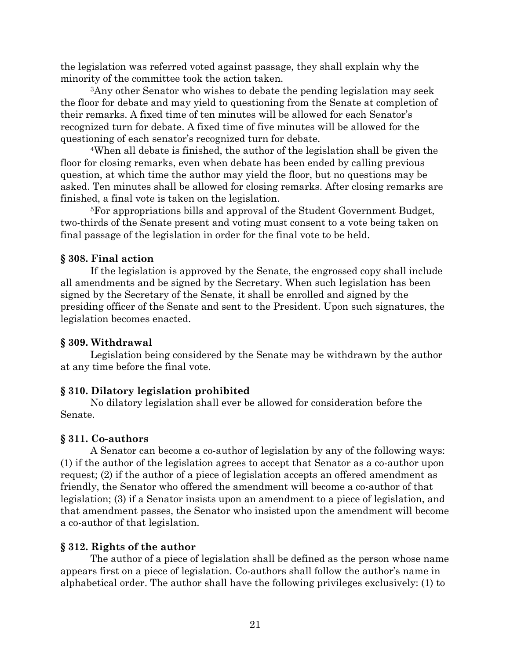the legislation was referred voted against passage, they shall explain why the minority of the committee took the action taken.

3Any other Senator who wishes to debate the pending legislation may seek the floor for debate and may yield to questioning from the Senate at completion of their remarks. A fixed time of ten minutes will be allowed for each Senator's recognized turn for debate. A fixed time of five minutes will be allowed for the questioning of each senator's recognized turn for debate.

4When all debate is finished, the author of the legislation shall be given the floor for closing remarks, even when debate has been ended by calling previous question, at which time the author may yield the floor, but no questions may be asked. Ten minutes shall be allowed for closing remarks. After closing remarks are finished, a final vote is taken on the legislation.

5For appropriations bills and approval of the Student Government Budget, two-thirds of the Senate present and voting must consent to a vote being taken on final passage of the legislation in order for the final vote to be held.

# **§ 308. Final action**

If the legislation is approved by the Senate, the engrossed copy shall include all amendments and be signed by the Secretary. When such legislation has been signed by the Secretary of the Senate, it shall be enrolled and signed by the presiding officer of the Senate and sent to the President. Upon such signatures, the legislation becomes enacted.

# **§ 309. Withdrawal**

Legislation being considered by the Senate may be withdrawn by the author at any time before the final vote.

# **§ 310. Dilatory legislation prohibited**

No dilatory legislation shall ever be allowed for consideration before the Senate.

# **§ 311. Co-authors**

A Senator can become a co-author of legislation by any of the following ways: (1) if the author of the legislation agrees to accept that Senator as a co-author upon request; (2) if the author of a piece of legislation accepts an offered amendment as friendly, the Senator who offered the amendment will become a co-author of that legislation; (3) if a Senator insists upon an amendment to a piece of legislation, and that amendment passes, the Senator who insisted upon the amendment will become a co-author of that legislation.

# **§ 312. Rights of the author**

The author of a piece of legislation shall be defined as the person whose name appears first on a piece of legislation. Co-authors shall follow the author's name in alphabetical order. The author shall have the following privileges exclusively: (1) to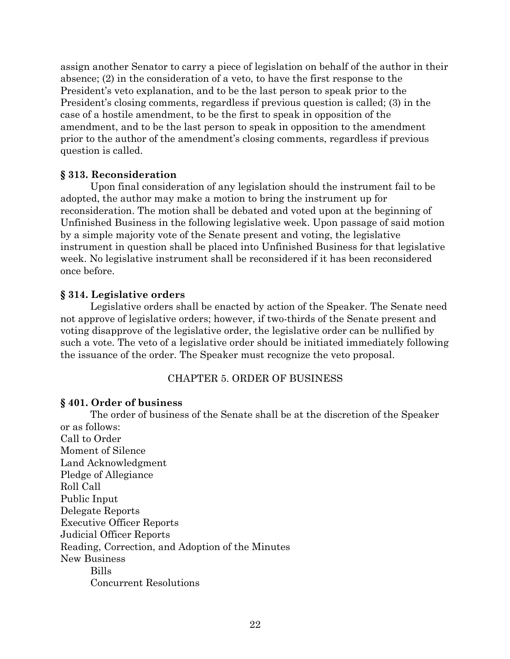assign another Senator to carry a piece of legislation on behalf of the author in their absence; (2) in the consideration of a veto, to have the first response to the President's veto explanation, and to be the last person to speak prior to the President's closing comments, regardless if previous question is called; (3) in the case of a hostile amendment, to be the first to speak in opposition of the amendment, and to be the last person to speak in opposition to the amendment prior to the author of the amendment's closing comments, regardless if previous question is called.

## **§ 313. Reconsideration**

Upon final consideration of any legislation should the instrument fail to be adopted, the author may make a motion to bring the instrument up for reconsideration. The motion shall be debated and voted upon at the beginning of Unfinished Business in the following legislative week. Upon passage of said motion by a simple majority vote of the Senate present and voting, the legislative instrument in question shall be placed into Unfinished Business for that legislative week. No legislative instrument shall be reconsidered if it has been reconsidered once before.

## **§ 314. Legislative orders**

Legislative orders shall be enacted by action of the Speaker. The Senate need not approve of legislative orders; however, if two-thirds of the Senate present and voting disapprove of the legislative order, the legislative order can be nullified by such a vote. The veto of a legislative order should be initiated immediately following the issuance of the order. The Speaker must recognize the veto proposal.

## CHAPTER 5. ORDER OF BUSINESS

### **§ 401. Order of business**

The order of business of the Senate shall be at the discretion of the Speaker or as follows: Call to Order Moment of Silence Land Acknowledgment Pledge of Allegiance Roll Call Public Input Delegate Reports Executive Officer Reports Judicial Officer Reports Reading, Correction, and Adoption of the Minutes New Business Bills Concurrent Resolutions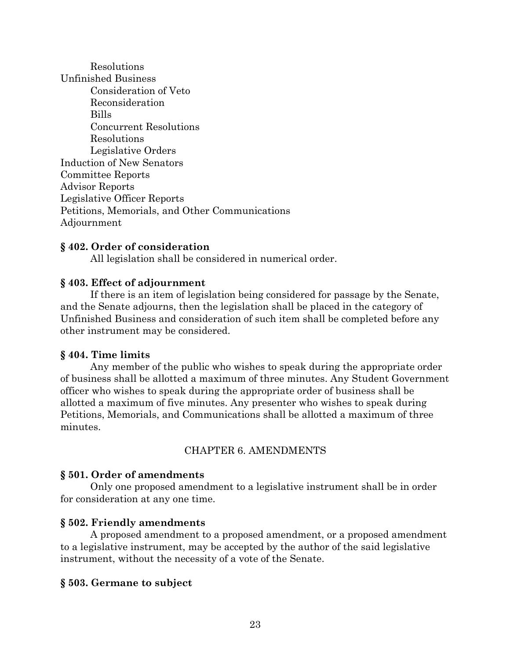Resolutions Unfinished Business Consideration of Veto Reconsideration Bills Concurrent Resolutions Resolutions Legislative Orders Induction of New Senators Committee Reports Advisor Reports Legislative Officer Reports Petitions, Memorials, and Other Communications Adjournment

## **§ 402. Order of consideration**

All legislation shall be considered in numerical order.

## **§ 403. Effect of adjournment**

If there is an item of legislation being considered for passage by the Senate, and the Senate adjourns, then the legislation shall be placed in the category of Unfinished Business and consideration of such item shall be completed before any other instrument may be considered.

### **§ 404. Time limits**

Any member of the public who wishes to speak during the appropriate order of business shall be allotted a maximum of three minutes. Any Student Government officer who wishes to speak during the appropriate order of business shall be allotted a maximum of five minutes. Any presenter who wishes to speak during Petitions, Memorials, and Communications shall be allotted a maximum of three minutes.

## CHAPTER 6. AMENDMENTS

### **§ 501. Order of amendments**

Only one proposed amendment to a legislative instrument shall be in order for consideration at any one time.

### **§ 502. Friendly amendments**

A proposed amendment to a proposed amendment, or a proposed amendment to a legislative instrument, may be accepted by the author of the said legislative instrument, without the necessity of a vote of the Senate.

## **§ 503. Germane to subject**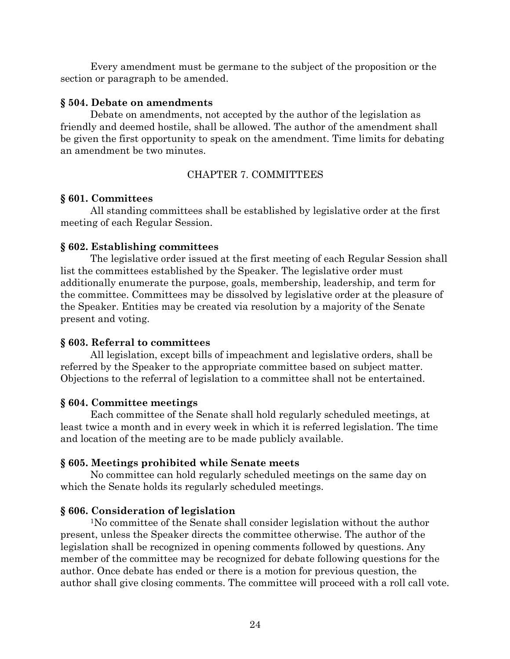Every amendment must be germane to the subject of the proposition or the section or paragraph to be amended.

### **§ 504. Debate on amendments**

Debate on amendments, not accepted by the author of the legislation as friendly and deemed hostile, shall be allowed. The author of the amendment shall be given the first opportunity to speak on the amendment. Time limits for debating an amendment be two minutes.

## CHAPTER 7. COMMITTEES

### **§ 601. Committees**

All standing committees shall be established by legislative order at the first meeting of each Regular Session.

### **§ 602. Establishing committees**

The legislative order issued at the first meeting of each Regular Session shall list the committees established by the Speaker. The legislative order must additionally enumerate the purpose, goals, membership, leadership, and term for the committee. Committees may be dissolved by legislative order at the pleasure of the Speaker. Entities may be created via resolution by a majority of the Senate present and voting.

### **§ 603. Referral to committees**

All legislation, except bills of impeachment and legislative orders, shall be referred by the Speaker to the appropriate committee based on subject matter. Objections to the referral of legislation to a committee shall not be entertained.

## **§ 604. Committee meetings**

Each committee of the Senate shall hold regularly scheduled meetings, at least twice a month and in every week in which it is referred legislation. The time and location of the meeting are to be made publicly available.

## **§ 605. Meetings prohibited while Senate meets**

No committee can hold regularly scheduled meetings on the same day on which the Senate holds its regularly scheduled meetings.

## **§ 606. Consideration of legislation**

1No committee of the Senate shall consider legislation without the author present, unless the Speaker directs the committee otherwise. The author of the legislation shall be recognized in opening comments followed by questions. Any member of the committee may be recognized for debate following questions for the author. Once debate has ended or there is a motion for previous question, the author shall give closing comments. The committee will proceed with a roll call vote.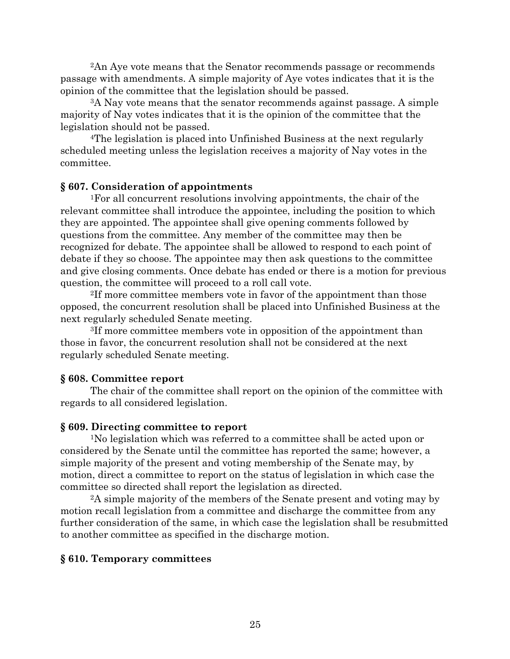2An Aye vote means that the Senator recommends passage or recommends passage with amendments. A simple majority of Aye votes indicates that it is the opinion of the committee that the legislation should be passed.

3A Nay vote means that the senator recommends against passage. A simple majority of Nay votes indicates that it is the opinion of the committee that the legislation should not be passed.

4The legislation is placed into Unfinished Business at the next regularly scheduled meeting unless the legislation receives a majority of Nay votes in the committee.

### **§ 607. Consideration of appointments**

1For all concurrent resolutions involving appointments, the chair of the relevant committee shall introduce the appointee, including the position to which they are appointed. The appointee shall give opening comments followed by questions from the committee. Any member of the committee may then be recognized for debate. The appointee shall be allowed to respond to each point of debate if they so choose. The appointee may then ask questions to the committee and give closing comments. Once debate has ended or there is a motion for previous question, the committee will proceed to a roll call vote.

2If more committee members vote in favor of the appointment than those opposed, the concurrent resolution shall be placed into Unfinished Business at the next regularly scheduled Senate meeting.

3If more committee members vote in opposition of the appointment than those in favor, the concurrent resolution shall not be considered at the next regularly scheduled Senate meeting.

#### **§ 608. Committee report**

The chair of the committee shall report on the opinion of the committee with regards to all considered legislation.

### **§ 609. Directing committee to report**

1No legislation which was referred to a committee shall be acted upon or considered by the Senate until the committee has reported the same; however, a simple majority of the present and voting membership of the Senate may, by motion, direct a committee to report on the status of legislation in which case the committee so directed shall report the legislation as directed.

2A simple majority of the members of the Senate present and voting may by motion recall legislation from a committee and discharge the committee from any further consideration of the same, in which case the legislation shall be resubmitted to another committee as specified in the discharge motion.

### **§ 610. Temporary committees**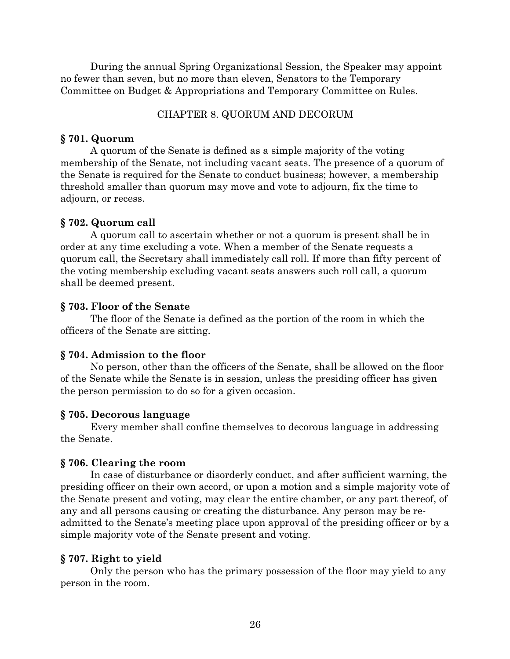During the annual Spring Organizational Session, the Speaker may appoint no fewer than seven, but no more than eleven, Senators to the Temporary Committee on Budget & Appropriations and Temporary Committee on Rules.

## CHAPTER 8. QUORUM AND DECORUM

### **§ 701. Quorum**

A quorum of the Senate is defined as a simple majority of the voting membership of the Senate, not including vacant seats. The presence of a quorum of the Senate is required for the Senate to conduct business; however, a membership threshold smaller than quorum may move and vote to adjourn, fix the time to adjourn, or recess.

### **§ 702. Quorum call**

A quorum call to ascertain whether or not a quorum is present shall be in order at any time excluding a vote. When a member of the Senate requests a quorum call, the Secretary shall immediately call roll. If more than fifty percent of the voting membership excluding vacant seats answers such roll call, a quorum shall be deemed present.

#### **§ 703. Floor of the Senate**

The floor of the Senate is defined as the portion of the room in which the officers of the Senate are sitting.

#### **§ 704. Admission to the floor**

No person, other than the officers of the Senate, shall be allowed on the floor of the Senate while the Senate is in session, unless the presiding officer has given the person permission to do so for a given occasion.

#### **§ 705. Decorous language**

Every member shall confine themselves to decorous language in addressing the Senate.

### **§ 706. Clearing the room**

In case of disturbance or disorderly conduct, and after sufficient warning, the presiding officer on their own accord, or upon a motion and a simple majority vote of the Senate present and voting, may clear the entire chamber, or any part thereof, of any and all persons causing or creating the disturbance. Any person may be readmitted to the Senate's meeting place upon approval of the presiding officer or by a simple majority vote of the Senate present and voting.

### **§ 707. Right to yield**

Only the person who has the primary possession of the floor may yield to any person in the room.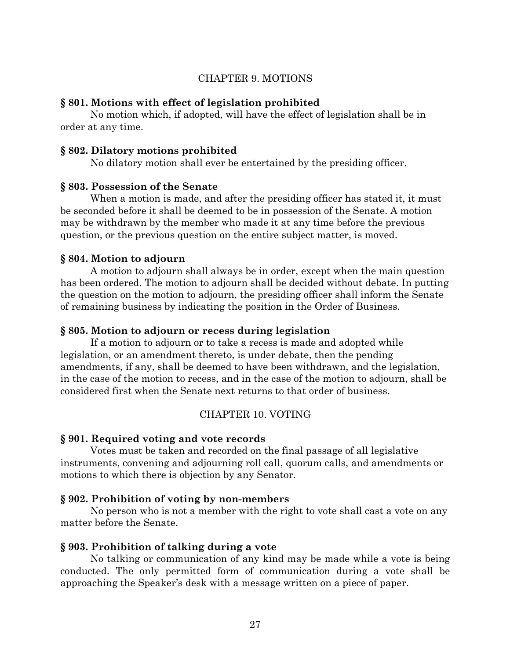## CHAPTER 9. MOTIONS

#### **§ 801. Motions with effect of legislation prohibited**

No motion which, if adopted, will have the effect of legislation shall be in order at any time.

#### **§ 802. Dilatory motions prohibited**

No dilatory motion shall ever be entertained by the presiding officer.

#### **§ 803. Possession of the Senate**

When a motion is made, and after the presiding officer has stated it, it must be seconded before it shall be deemed to be in possession of the Senate. A motion may be withdrawn by the member who made it at any time before the previous question, or the previous question on the entire subject matter, is moved.

#### **§ 804. Motion to adjourn**

A motion to adjourn shall always be in order, except when the main question has been ordered. The motion to adjourn shall be decided without debate. In putting the question on the motion to adjourn, the presiding officer shall inform the Senate of remaining business by indicating the position in the Order of Business.

#### **§ 805. Motion to adjourn or recess during legislation**

If a motion to adjourn or to take a recess is made and adopted while legislation, or an amendment thereto, is under debate, then the pending amendments, if any, shall be deemed to have been withdrawn, and the legislation, in the case of the motion to recess, and in the case of the motion to adjourn, shall be considered first when the Senate next returns to that order of business.

#### CHAPTER 10. VOTING

#### **§ 901. Required voting and vote records**

Votes must be taken and recorded on the final passage of all legislative instruments, convening and adjourning roll call, quorum calls, and amendments or motions to which there is objection by any Senator.

#### **§ 902. Prohibition of voting by non-members**

No person who is not a member with the right to vote shall cast a vote on any matter before the Senate.

#### **§ 903. Prohibition of talking during a vote**

No talking or communication of any kind may be made while a vote is being conducted. The only permitted form of communication during a vote shall be approaching the Speaker's desk with a message written on a piece of paper.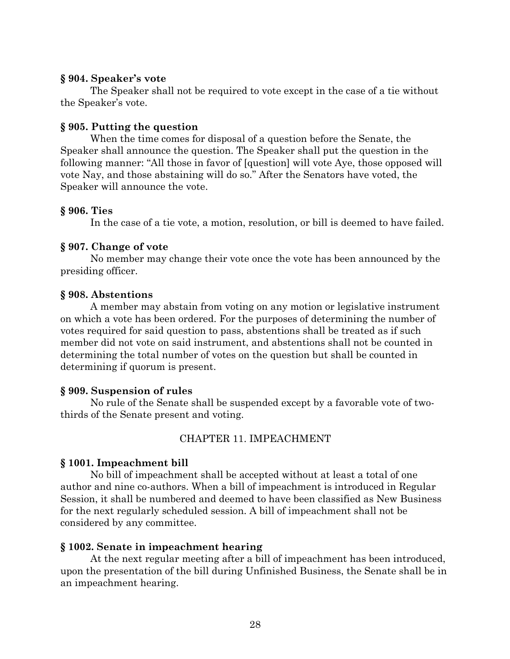### **§ 904. Speaker's vote**

The Speaker shall not be required to vote except in the case of a tie without the Speaker's vote.

## **§ 905. Putting the question**

When the time comes for disposal of a question before the Senate, the Speaker shall announce the question. The Speaker shall put the question in the following manner: "All those in favor of [question] will vote Aye, those opposed will vote Nay, and those abstaining will do so." After the Senators have voted, the Speaker will announce the vote.

# **§ 906. Ties**

In the case of a tie vote, a motion, resolution, or bill is deemed to have failed.

# **§ 907. Change of vote**

No member may change their vote once the vote has been announced by the presiding officer.

# **§ 908. Abstentions**

A member may abstain from voting on any motion or legislative instrument on which a vote has been ordered. For the purposes of determining the number of votes required for said question to pass, abstentions shall be treated as if such member did not vote on said instrument, and abstentions shall not be counted in determining the total number of votes on the question but shall be counted in determining if quorum is present.

# **§ 909. Suspension of rules**

No rule of the Senate shall be suspended except by a favorable vote of twothirds of the Senate present and voting.

# CHAPTER 11. IMPEACHMENT

# **§ 1001. Impeachment bill**

No bill of impeachment shall be accepted without at least a total of one author and nine co-authors. When a bill of impeachment is introduced in Regular Session, it shall be numbered and deemed to have been classified as New Business for the next regularly scheduled session. A bill of impeachment shall not be considered by any committee.

# **§ 1002. Senate in impeachment hearing**

At the next regular meeting after a bill of impeachment has been introduced, upon the presentation of the bill during Unfinished Business, the Senate shall be in an impeachment hearing.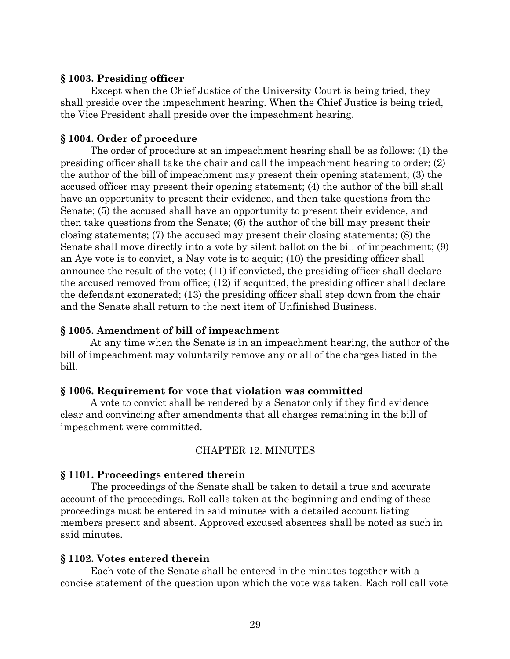#### **§ 1003. Presiding officer**

Except when the Chief Justice of the University Court is being tried, they shall preside over the impeachment hearing. When the Chief Justice is being tried, the Vice President shall preside over the impeachment hearing.

#### **§ 1004. Order of procedure**

The order of procedure at an impeachment hearing shall be as follows: (1) the presiding officer shall take the chair and call the impeachment hearing to order; (2) the author of the bill of impeachment may present their opening statement; (3) the accused officer may present their opening statement; (4) the author of the bill shall have an opportunity to present their evidence, and then take questions from the Senate; (5) the accused shall have an opportunity to present their evidence, and then take questions from the Senate; (6) the author of the bill may present their closing statements; (7) the accused may present their closing statements; (8) the Senate shall move directly into a vote by silent ballot on the bill of impeachment; (9) an Aye vote is to convict, a Nay vote is to acquit; (10) the presiding officer shall announce the result of the vote; (11) if convicted, the presiding officer shall declare the accused removed from office; (12) if acquitted, the presiding officer shall declare the defendant exonerated; (13) the presiding officer shall step down from the chair and the Senate shall return to the next item of Unfinished Business.

#### **§ 1005. Amendment of bill of impeachment**

At any time when the Senate is in an impeachment hearing, the author of the bill of impeachment may voluntarily remove any or all of the charges listed in the bill.

#### **§ 1006. Requirement for vote that violation was committed**

A vote to convict shall be rendered by a Senator only if they find evidence clear and convincing after amendments that all charges remaining in the bill of impeachment were committed.

### CHAPTER 12. MINUTES

#### **§ 1101. Proceedings entered therein**

The proceedings of the Senate shall be taken to detail a true and accurate account of the proceedings. Roll calls taken at the beginning and ending of these proceedings must be entered in said minutes with a detailed account listing members present and absent. Approved excused absences shall be noted as such in said minutes.

#### **§ 1102. Votes entered therein**

Each vote of the Senate shall be entered in the minutes together with a concise statement of the question upon which the vote was taken. Each roll call vote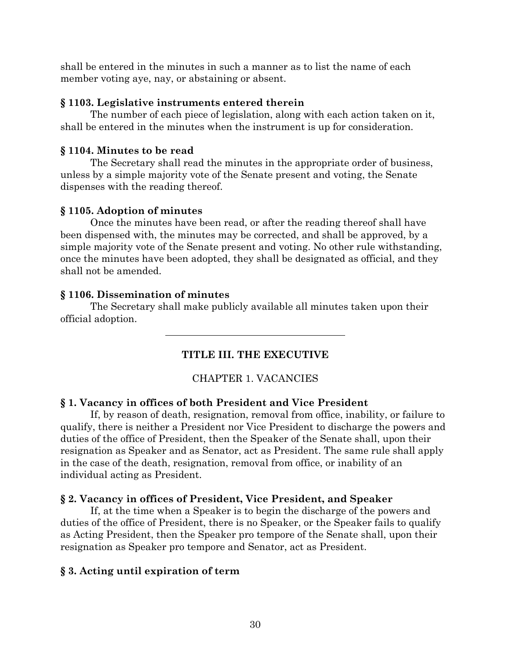shall be entered in the minutes in such a manner as to list the name of each member voting aye, nay, or abstaining or absent.

# **§ 1103. Legislative instruments entered therein**

The number of each piece of legislation, along with each action taken on it, shall be entered in the minutes when the instrument is up for consideration.

# **§ 1104. Minutes to be read**

The Secretary shall read the minutes in the appropriate order of business, unless by a simple majority vote of the Senate present and voting, the Senate dispenses with the reading thereof.

# **§ 1105. Adoption of minutes**

Once the minutes have been read, or after the reading thereof shall have been dispensed with, the minutes may be corrected, and shall be approved, by a simple majority vote of the Senate present and voting. No other rule withstanding, once the minutes have been adopted, they shall be designated as official, and they shall not be amended.

# **§ 1106. Dissemination of minutes**

The Secretary shall make publicly available all minutes taken upon their official adoption.

# **TITLE III. THE EXECUTIVE**

# CHAPTER 1. VACANCIES

# **§ 1. Vacancy in offices of both President and Vice President**

If, by reason of death, resignation, removal from office, inability, or failure to qualify, there is neither a President nor Vice President to discharge the powers and duties of the office of President, then the Speaker of the Senate shall, upon their resignation as Speaker and as Senator, act as President. The same rule shall apply in the case of the death, resignation, removal from office, or inability of an individual acting as President.

# **§ 2. Vacancy in offices of President, Vice President, and Speaker**

If, at the time when a Speaker is to begin the discharge of the powers and duties of the office of President, there is no Speaker, or the Speaker fails to qualify as Acting President, then the Speaker pro tempore of the Senate shall, upon their resignation as Speaker pro tempore and Senator, act as President.

# **§ 3. Acting until expiration of term**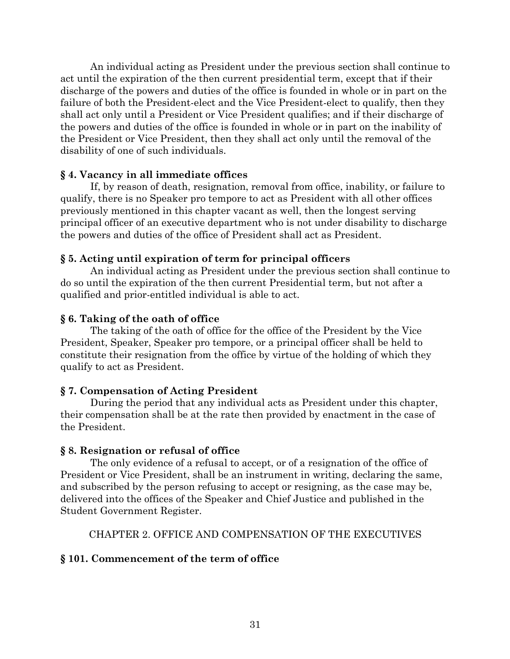An individual acting as President under the previous section shall continue to act until the expiration of the then current presidential term, except that if their discharge of the powers and duties of the office is founded in whole or in part on the failure of both the President-elect and the Vice President-elect to qualify, then they shall act only until a President or Vice President qualifies; and if their discharge of the powers and duties of the office is founded in whole or in part on the inability of the President or Vice President, then they shall act only until the removal of the disability of one of such individuals.

# **§ 4. Vacancy in all immediate offices**

If, by reason of death, resignation, removal from office, inability, or failure to qualify, there is no Speaker pro tempore to act as President with all other offices previously mentioned in this chapter vacant as well, then the longest serving principal officer of an executive department who is not under disability to discharge the powers and duties of the office of President shall act as President.

# **§ 5. Acting until expiration of term for principal officers**

An individual acting as President under the previous section shall continue to do so until the expiration of the then current Presidential term, but not after a qualified and prior-entitled individual is able to act.

# **§ 6. Taking of the oath of office**

The taking of the oath of office for the office of the President by the Vice President, Speaker, Speaker pro tempore, or a principal officer shall be held to constitute their resignation from the office by virtue of the holding of which they qualify to act as President.

# **§ 7. Compensation of Acting President**

During the period that any individual acts as President under this chapter, their compensation shall be at the rate then provided by enactment in the case of the President.

## **§ 8. Resignation or refusal of office**

The only evidence of a refusal to accept, or of a resignation of the office of President or Vice President, shall be an instrument in writing, declaring the same, and subscribed by the person refusing to accept or resigning, as the case may be, delivered into the offices of the Speaker and Chief Justice and published in the Student Government Register.

## CHAPTER 2. OFFICE AND COMPENSATION OF THE EXECUTIVES

# **§ 101. Commencement of the term of office**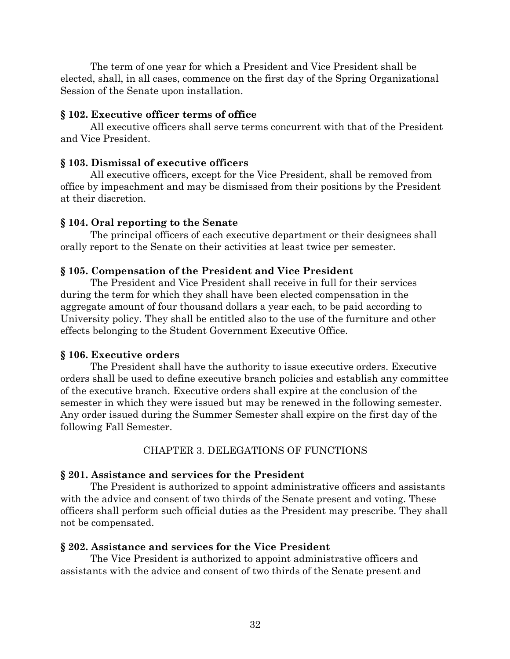The term of one year for which a President and Vice President shall be elected, shall, in all cases, commence on the first day of the Spring Organizational Session of the Senate upon installation.

### **§ 102. Executive officer terms of office**

All executive officers shall serve terms concurrent with that of the President and Vice President.

## **§ 103. Dismissal of executive officers**

All executive officers, except for the Vice President, shall be removed from office by impeachment and may be dismissed from their positions by the President at their discretion.

## **§ 104. Oral reporting to the Senate**

The principal officers of each executive department or their designees shall orally report to the Senate on their activities at least twice per semester.

## **§ 105. Compensation of the President and Vice President**

The President and Vice President shall receive in full for their services during the term for which they shall have been elected compensation in the aggregate amount of four thousand dollars a year each, to be paid according to University policy. They shall be entitled also to the use of the furniture and other effects belonging to the Student Government Executive Office.

### **§ 106. Executive orders**

The President shall have the authority to issue executive orders. Executive orders shall be used to define executive branch policies and establish any committee of the executive branch. Executive orders shall expire at the conclusion of the semester in which they were issued but may be renewed in the following semester. Any order issued during the Summer Semester shall expire on the first day of the following Fall Semester.

### CHAPTER 3. DELEGATIONS OF FUNCTIONS

### **§ 201. Assistance and services for the President**

The President is authorized to appoint administrative officers and assistants with the advice and consent of two thirds of the Senate present and voting. These officers shall perform such official duties as the President may prescribe. They shall not be compensated.

### **§ 202. Assistance and services for the Vice President**

The Vice President is authorized to appoint administrative officers and assistants with the advice and consent of two thirds of the Senate present and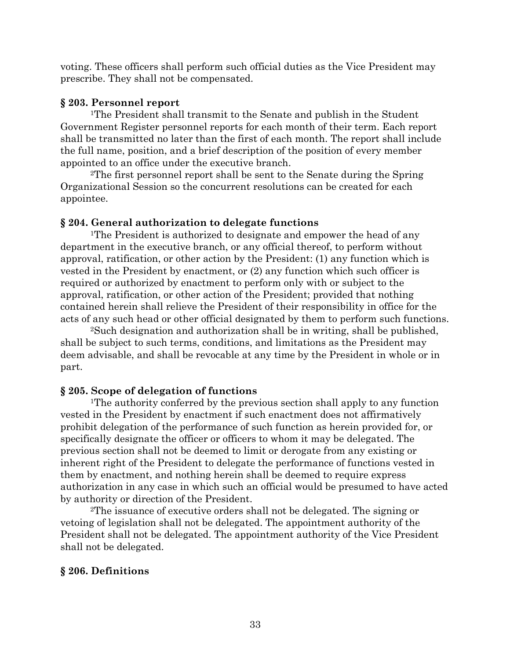voting. These officers shall perform such official duties as the Vice President may prescribe. They shall not be compensated.

# **§ 203. Personnel report**

1The President shall transmit to the Senate and publish in the Student Government Register personnel reports for each month of their term. Each report shall be transmitted no later than the first of each month. The report shall include the full name, position, and a brief description of the position of every member appointed to an office under the executive branch.

2The first personnel report shall be sent to the Senate during the Spring Organizational Session so the concurrent resolutions can be created for each appointee.

# **§ 204. General authorization to delegate functions**

1The President is authorized to designate and empower the head of any department in the executive branch, or any official thereof, to perform without approval, ratification, or other action by the President: (1) any function which is vested in the President by enactment, or (2) any function which such officer is required or authorized by enactment to perform only with or subject to the approval, ratification, or other action of the President; provided that nothing contained herein shall relieve the President of their responsibility in office for the acts of any such head or other official designated by them to perform such functions.

2Such designation and authorization shall be in writing, shall be published, shall be subject to such terms, conditions, and limitations as the President may deem advisable, and shall be revocable at any time by the President in whole or in part.

# **§ 205. Scope of delegation of functions**

1The authority conferred by the previous section shall apply to any function vested in the President by enactment if such enactment does not affirmatively prohibit delegation of the performance of such function as herein provided for, or specifically designate the officer or officers to whom it may be delegated. The previous section shall not be deemed to limit or derogate from any existing or inherent right of the President to delegate the performance of functions vested in them by enactment, and nothing herein shall be deemed to require express authorization in any case in which such an official would be presumed to have acted by authority or direction of the President.

2The issuance of executive orders shall not be delegated. The signing or vetoing of legislation shall not be delegated. The appointment authority of the President shall not be delegated. The appointment authority of the Vice President shall not be delegated.

# **§ 206. Definitions**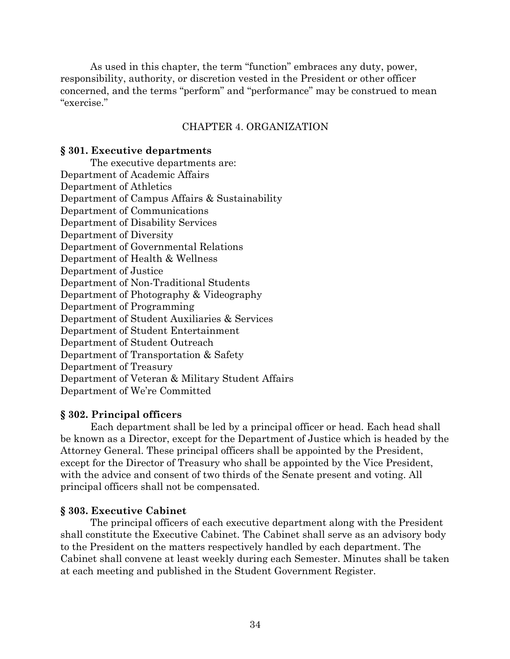As used in this chapter, the term "function" embraces any duty, power, responsibility, authority, or discretion vested in the President or other officer concerned, and the terms "perform" and "performance" may be construed to mean "exercise."

### CHAPTER 4. ORGANIZATION

#### **§ 301. Executive departments**

The executive departments are: Department of Academic Affairs Department of Athletics Department of Campus Affairs & Sustainability Department of Communications Department of Disability Services Department of Diversity Department of Governmental Relations Department of Health & Wellness Department of Justice Department of Non-Traditional Students Department of Photography & Videography Department of Programming Department of Student Auxiliaries & Services Department of Student Entertainment Department of Student Outreach Department of Transportation & Safety Department of Treasury Department of Veteran & Military Student Affairs Department of We're Committed

### **§ 302. Principal officers**

Each department shall be led by a principal officer or head. Each head shall be known as a Director, except for the Department of Justice which is headed by the Attorney General. These principal officers shall be appointed by the President, except for the Director of Treasury who shall be appointed by the Vice President, with the advice and consent of two thirds of the Senate present and voting. All principal officers shall not be compensated.

#### **§ 303. Executive Cabinet**

The principal officers of each executive department along with the President shall constitute the Executive Cabinet. The Cabinet shall serve as an advisory body to the President on the matters respectively handled by each department. The Cabinet shall convene at least weekly during each Semester. Minutes shall be taken at each meeting and published in the Student Government Register.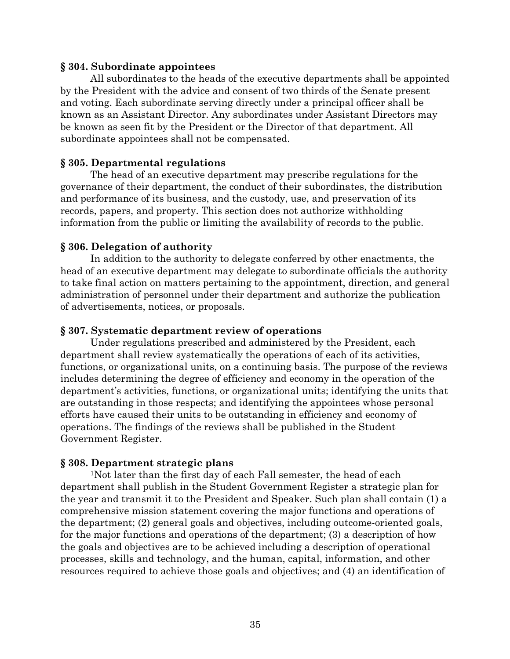### **§ 304. Subordinate appointees**

All subordinates to the heads of the executive departments shall be appointed by the President with the advice and consent of two thirds of the Senate present and voting. Each subordinate serving directly under a principal officer shall be known as an Assistant Director. Any subordinates under Assistant Directors may be known as seen fit by the President or the Director of that department. All subordinate appointees shall not be compensated.

### **§ 305. Departmental regulations**

The head of an executive department may prescribe regulations for the governance of their department, the conduct of their subordinates, the distribution and performance of its business, and the custody, use, and preservation of its records, papers, and property. This section does not authorize withholding information from the public or limiting the availability of records to the public.

### **§ 306. Delegation of authority**

In addition to the authority to delegate conferred by other enactments, the head of an executive department may delegate to subordinate officials the authority to take final action on matters pertaining to the appointment, direction, and general administration of personnel under their department and authorize the publication of advertisements, notices, or proposals.

### **§ 307. Systematic department review of operations**

Under regulations prescribed and administered by the President, each department shall review systematically the operations of each of its activities, functions, or organizational units, on a continuing basis. The purpose of the reviews includes determining the degree of efficiency and economy in the operation of the department's activities, functions, or organizational units; identifying the units that are outstanding in those respects; and identifying the appointees whose personal efforts have caused their units to be outstanding in efficiency and economy of operations. The findings of the reviews shall be published in the Student Government Register.

### **§ 308. Department strategic plans**

1Not later than the first day of each Fall semester, the head of each department shall publish in the Student Government Register a strategic plan for the year and transmit it to the President and Speaker. Such plan shall contain (1) a comprehensive mission statement covering the major functions and operations of the department; (2) general goals and objectives, including outcome-oriented goals, for the major functions and operations of the department; (3) a description of how the goals and objectives are to be achieved including a description of operational processes, skills and technology, and the human, capital, information, and other resources required to achieve those goals and objectives; and (4) an identification of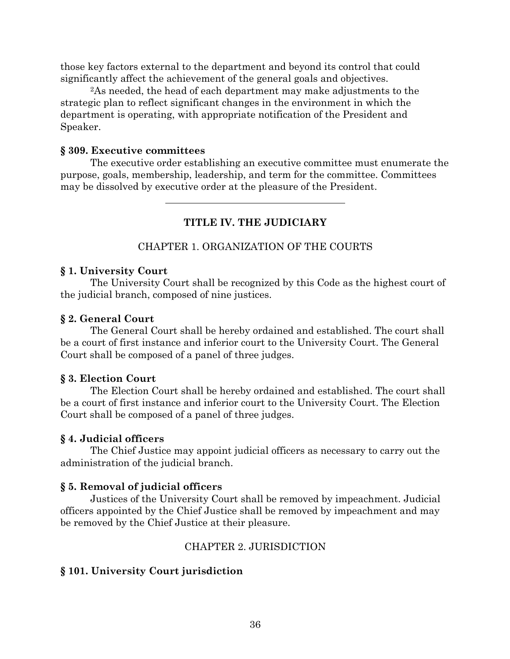those key factors external to the department and beyond its control that could significantly affect the achievement of the general goals and objectives.

2As needed, the head of each department may make adjustments to the strategic plan to reflect significant changes in the environment in which the department is operating, with appropriate notification of the President and Speaker.

### **§ 309. Executive committees**

The executive order establishing an executive committee must enumerate the purpose, goals, membership, leadership, and term for the committee. Committees may be dissolved by executive order at the pleasure of the President.

## **TITLE IV. THE JUDICIARY**

### CHAPTER 1. ORGANIZATION OF THE COURTS

#### **§ 1. University Court**

The University Court shall be recognized by this Code as the highest court of the judicial branch, composed of nine justices.

#### **§ 2. General Court**

The General Court shall be hereby ordained and established. The court shall be a court of first instance and inferior court to the University Court. The General Court shall be composed of a panel of three judges.

#### **§ 3. Election Court**

The Election Court shall be hereby ordained and established. The court shall be a court of first instance and inferior court to the University Court. The Election Court shall be composed of a panel of three judges.

### **§ 4. Judicial officers**

The Chief Justice may appoint judicial officers as necessary to carry out the administration of the judicial branch.

### **§ 5. Removal of judicial officers**

Justices of the University Court shall be removed by impeachment. Judicial officers appointed by the Chief Justice shall be removed by impeachment and may be removed by the Chief Justice at their pleasure.

### CHAPTER 2. JURISDICTION

### **§ 101. University Court jurisdiction**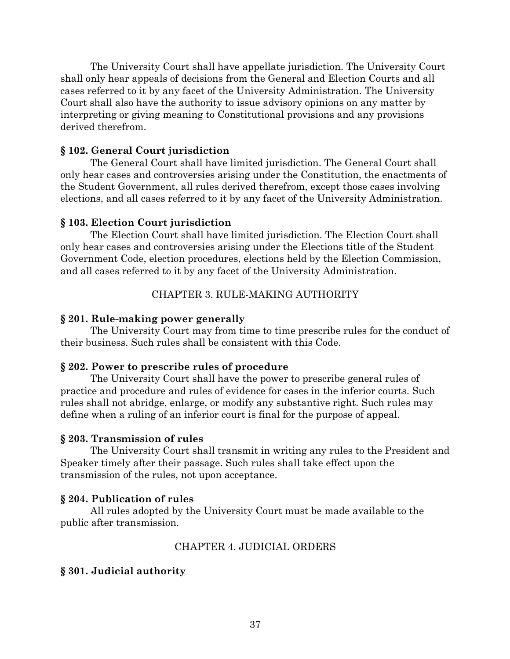The University Court shall have appellate jurisdiction. The University Court shall only hear appeals of decisions from the General and Election Courts and all cases referred to it by any facet of the University Administration. The University Court shall also have the authority to issue advisory opinions on any matter by interpreting or giving meaning to Constitutional provisions and any provisions derived therefrom.

### **§ 102. General Court jurisdiction**

The General Court shall have limited jurisdiction. The General Court shall only hear cases and controversies arising under the Constitution, the enactments of the Student Government, all rules derived therefrom, except those cases involving elections, and all cases referred to it by any facet of the University Administration.

### **§ 103. Election Court jurisdiction**

The Election Court shall have limited jurisdiction. The Election Court shall only hear cases and controversies arising under the Elections title of the Student Government Code, election procedures, elections held by the Election Commission, and all cases referred to it by any facet of the University Administration.

#### CHAPTER 3. RULE-MAKING AUTHORITY

#### **§ 201. Rule-making power generally**

The University Court may from time to time prescribe rules for the conduct of their business. Such rules shall be consistent with this Code.

#### **§ 202. Power to prescribe rules of procedure**

The University Court shall have the power to prescribe general rules of practice and procedure and rules of evidence for cases in the inferior courts. Such rules shall not abridge, enlarge, or modify any substantive right. Such rules may define when a ruling of an inferior court is final for the purpose of appeal.

#### **§ 203. Transmission of rules**

The University Court shall transmit in writing any rules to the President and Speaker timely after their passage. Such rules shall take effect upon the transmission of the rules, not upon acceptance.

#### **§ 204. Publication of rules**

All rules adopted by the University Court must be made available to the public after transmission.

#### CHAPTER 4. JUDICIAL ORDERS

#### **§ 301. Judicial authority**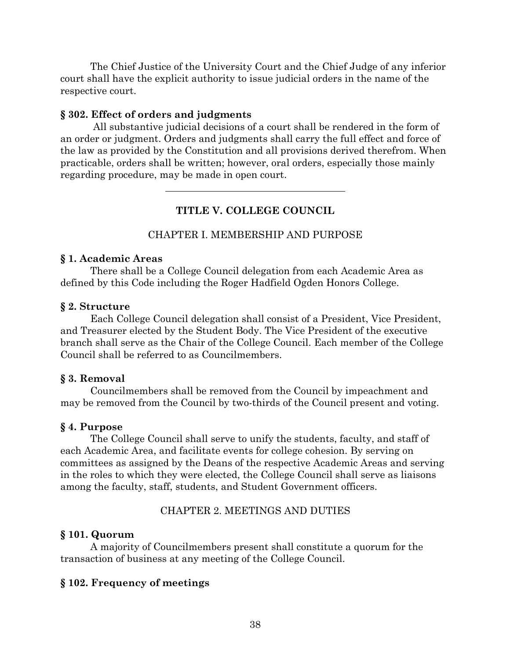The Chief Justice of the University Court and the Chief Judge of any inferior court shall have the explicit authority to issue judicial orders in the name of the respective court.

## **§ 302. Effect of orders and judgments**

All substantive judicial decisions of a court shall be rendered in the form of an order or judgment. Orders and judgments shall carry the full effect and force of the law as provided by the Constitution and all provisions derived therefrom. When practicable, orders shall be written; however, oral orders, especially those mainly regarding procedure, may be made in open court.

# **TITLE V. COLLEGE COUNCIL**

## CHAPTER I. MEMBERSHIP AND PURPOSE

### **§ 1. Academic Areas**

There shall be a College Council delegation from each Academic Area as defined by this Code including the Roger Hadfield Ogden Honors College.

### **§ 2. Structure**

Each College Council delegation shall consist of a President, Vice President, and Treasurer elected by the Student Body. The Vice President of the executive branch shall serve as the Chair of the College Council. Each member of the College Council shall be referred to as Councilmembers.

### **§ 3. Removal**

Councilmembers shall be removed from the Council by impeachment and may be removed from the Council by two-thirds of the Council present and voting.

### **§ 4. Purpose**

The College Council shall serve to unify the students, faculty, and staff of each Academic Area, and facilitate events for college cohesion. By serving on committees as assigned by the Deans of the respective Academic Areas and serving in the roles to which they were elected, the College Council shall serve as liaisons among the faculty, staff, students, and Student Government officers.

### CHAPTER 2. MEETINGS AND DUTIES

### **§ 101. Quorum**

A majority of Councilmembers present shall constitute a quorum for the transaction of business at any meeting of the College Council.

### **§ 102. Frequency of meetings**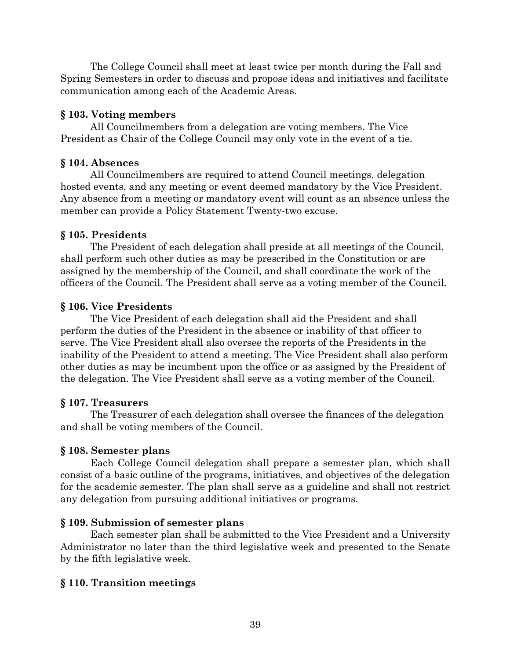The College Council shall meet at least twice per month during the Fall and Spring Semesters in order to discuss and propose ideas and initiatives and facilitate communication among each of the Academic Areas.

# **§ 103. Voting members**

All Councilmembers from a delegation are voting members. The Vice President as Chair of the College Council may only vote in the event of a tie.

# **§ 104. Absences**

All Councilmembers are required to attend Council meetings, delegation hosted events, and any meeting or event deemed mandatory by the Vice President. Any absence from a meeting or mandatory event will count as an absence unless the member can provide a Policy Statement Twenty-two excuse.

# **§ 105. Presidents**

The President of each delegation shall preside at all meetings of the Council, shall perform such other duties as may be prescribed in the Constitution or are assigned by the membership of the Council, and shall coordinate the work of the officers of the Council. The President shall serve as a voting member of the Council.

# **§ 106. Vice Presidents**

The Vice President of each delegation shall aid the President and shall perform the duties of the President in the absence or inability of that officer to serve. The Vice President shall also oversee the reports of the Presidents in the inability of the President to attend a meeting. The Vice President shall also perform other duties as may be incumbent upon the office or as assigned by the President of the delegation. The Vice President shall serve as a voting member of the Council.

# **§ 107. Treasurers**

The Treasurer of each delegation shall oversee the finances of the delegation and shall be voting members of the Council.

# **§ 108. Semester plans**

Each College Council delegation shall prepare a semester plan, which shall consist of a basic outline of the programs, initiatives, and objectives of the delegation for the academic semester. The plan shall serve as a guideline and shall not restrict any delegation from pursuing additional initiatives or programs.

# **§ 109. Submission of semester plans**

Each semester plan shall be submitted to the Vice President and a University Administrator no later than the third legislative week and presented to the Senate by the fifth legislative week.

# **§ 110. Transition meetings**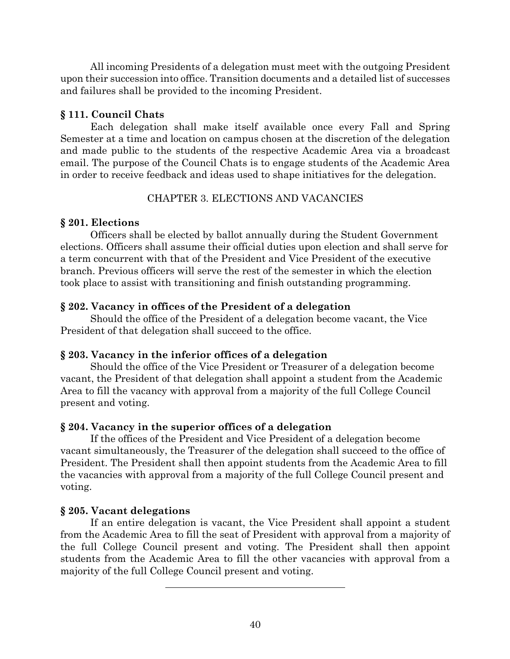All incoming Presidents of a delegation must meet with the outgoing President upon their succession into office. Transition documents and a detailed list of successes and failures shall be provided to the incoming President.

# **§ 111. Council Chats**

Each delegation shall make itself available once every Fall and Spring Semester at a time and location on campus chosen at the discretion of the delegation and made public to the students of the respective Academic Area via a broadcast email. The purpose of the Council Chats is to engage students of the Academic Area in order to receive feedback and ideas used to shape initiatives for the delegation.

# CHAPTER 3. ELECTIONS AND VACANCIES

# **§ 201. Elections**

Officers shall be elected by ballot annually during the Student Government elections. Officers shall assume their official duties upon election and shall serve for a term concurrent with that of the President and Vice President of the executive branch. Previous officers will serve the rest of the semester in which the election took place to assist with transitioning and finish outstanding programming.

# **§ 202. Vacancy in offices of the President of a delegation**

Should the office of the President of a delegation become vacant, the Vice President of that delegation shall succeed to the office.

# **§ 203. Vacancy in the inferior offices of a delegation**

Should the office of the Vice President or Treasurer of a delegation become vacant, the President of that delegation shall appoint a student from the Academic Area to fill the vacancy with approval from a majority of the full College Council present and voting.

# **§ 204. Vacancy in the superior offices of a delegation**

If the offices of the President and Vice President of a delegation become vacant simultaneously, the Treasurer of the delegation shall succeed to the office of President. The President shall then appoint students from the Academic Area to fill the vacancies with approval from a majority of the full College Council present and voting.

# **§ 205. Vacant delegations**

If an entire delegation is vacant, the Vice President shall appoint a student from the Academic Area to fill the seat of President with approval from a majority of the full College Council present and voting. The President shall then appoint students from the Academic Area to fill the other vacancies with approval from a majority of the full College Council present and voting.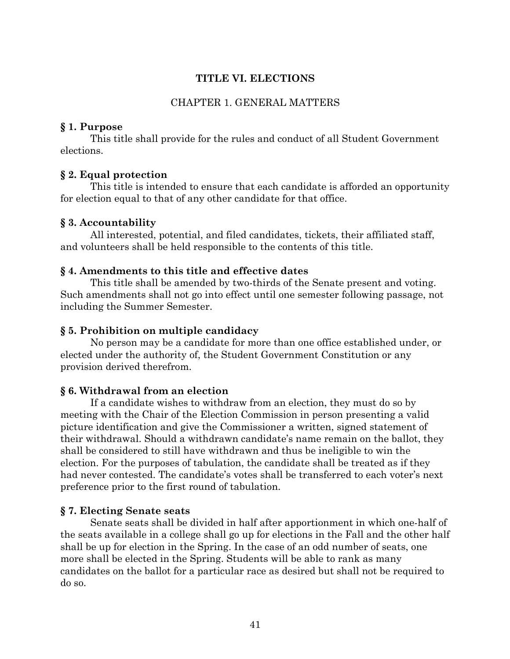## **TITLE VI. ELECTIONS**

## CHAPTER 1. GENERAL MATTERS

## **§ 1. Purpose**

This title shall provide for the rules and conduct of all Student Government elections.

## **§ 2. Equal protection**

This title is intended to ensure that each candidate is afforded an opportunity for election equal to that of any other candidate for that office.

## **§ 3. Accountability**

All interested, potential, and filed candidates, tickets, their affiliated staff, and volunteers shall be held responsible to the contents of this title.

## **§ 4. Amendments to this title and effective dates**

This title shall be amended by two-thirds of the Senate present and voting. Such amendments shall not go into effect until one semester following passage, not including the Summer Semester.

### **§ 5. Prohibition on multiple candidacy**

No person may be a candidate for more than one office established under, or elected under the authority of, the Student Government Constitution or any provision derived therefrom.

## **§ 6. Withdrawal from an election**

If a candidate wishes to withdraw from an election, they must do so by meeting with the Chair of the Election Commission in person presenting a valid picture identification and give the Commissioner a written, signed statement of their withdrawal. Should a withdrawn candidate's name remain on the ballot, they shall be considered to still have withdrawn and thus be ineligible to win the election. For the purposes of tabulation, the candidate shall be treated as if they had never contested. The candidate's votes shall be transferred to each voter's next preference prior to the first round of tabulation.

### **§ 7. Electing Senate seats**

Senate seats shall be divided in half after apportionment in which one-half of the seats available in a college shall go up for elections in the Fall and the other half shall be up for election in the Spring. In the case of an odd number of seats, one more shall be elected in the Spring. Students will be able to rank as many candidates on the ballot for a particular race as desired but shall not be required to do so.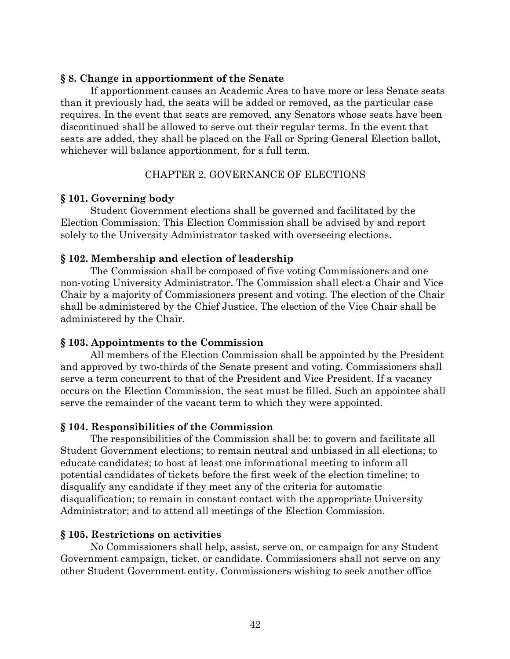### **§ 8. Change in apportionment of the Senate**

If apportionment causes an Academic Area to have more or less Senate seats than it previously had, the seats will be added or removed, as the particular case requires. In the event that seats are removed, any Senators whose seats have been discontinued shall be allowed to serve out their regular terms. In the event that seats are added, they shall be placed on the Fall or Spring General Election ballot, whichever will balance apportionment, for a full term.

## CHAPTER 2. GOVERNANCE OF ELECTIONS

## **§ 101. Governing body**

Student Government elections shall be governed and facilitated by the Election Commission. This Election Commission shall be advised by and report solely to the University Administrator tasked with overseeing elections.

### **§ 102. Membership and election of leadership**

The Commission shall be composed of five voting Commissioners and one non-voting University Administrator. The Commission shall elect a Chair and Vice Chair by a majority of Commissioners present and voting. The election of the Chair shall be administered by the Chief Justice. The election of the Vice Chair shall be administered by the Chair.

### **§ 103. Appointments to the Commission**

All members of the Election Commission shall be appointed by the President and approved by two-thirds of the Senate present and voting. Commissioners shall serve a term concurrent to that of the President and Vice President. If a vacancy occurs on the Election Commission, the seat must be filled. Such an appointee shall serve the remainder of the vacant term to which they were appointed.

### **§ 104. Responsibilities of the Commission**

The responsibilities of the Commission shall be: to govern and facilitate all Student Government elections; to remain neutral and unbiased in all elections; to educate candidates; to host at least one informational meeting to inform all potential candidates of tickets before the first week of the election timeline; to disqualify any candidate if they meet any of the criteria for automatic disqualification; to remain in constant contact with the appropriate University Administrator; and to attend all meetings of the Election Commission.

## **§ 105. Restrictions on activities**

No Commissioners shall help, assist, serve on, or campaign for any Student Government campaign, ticket, or candidate. Commissioners shall not serve on any other Student Government entity. Commissioners wishing to seek another office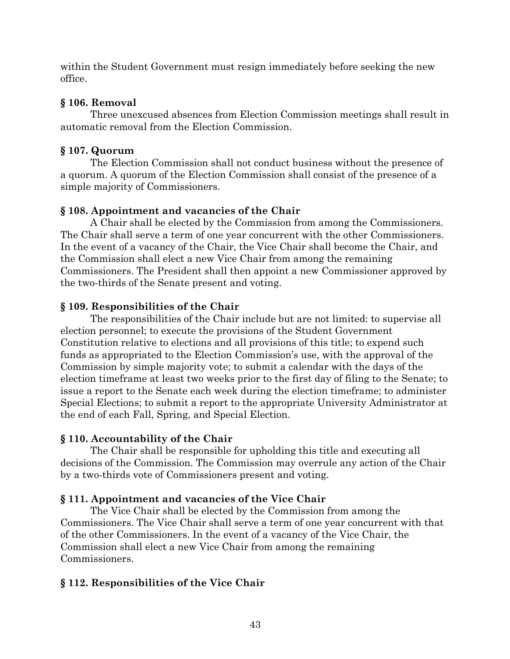within the Student Government must resign immediately before seeking the new office.

# **§ 106. Removal**

Three unexcused absences from Election Commission meetings shall result in automatic removal from the Election Commission.

# **§ 107. Quorum**

The Election Commission shall not conduct business without the presence of a quorum. A quorum of the Election Commission shall consist of the presence of a simple majority of Commissioners.

# **§ 108. Appointment and vacancies of the Chair**

A Chair shall be elected by the Commission from among the Commissioners. The Chair shall serve a term of one year concurrent with the other Commissioners. In the event of a vacancy of the Chair, the Vice Chair shall become the Chair, and the Commission shall elect a new Vice Chair from among the remaining Commissioners. The President shall then appoint a new Commissioner approved by the two-thirds of the Senate present and voting.

# **§ 109. Responsibilities of the Chair**

The responsibilities of the Chair include but are not limited: to supervise all election personnel; to execute the provisions of the Student Government Constitution relative to elections and all provisions of this title; to expend such funds as appropriated to the Election Commission's use, with the approval of the Commission by simple majority vote; to submit a calendar with the days of the election timeframe at least two weeks prior to the first day of filing to the Senate; to issue a report to the Senate each week during the election timeframe; to administer Special Elections; to submit a report to the appropriate University Administrator at the end of each Fall, Spring, and Special Election.

# **§ 110. Accountability of the Chair**

The Chair shall be responsible for upholding this title and executing all decisions of the Commission. The Commission may overrule any action of the Chair by a two-thirds vote of Commissioners present and voting.

# **§ 111. Appointment and vacancies of the Vice Chair**

The Vice Chair shall be elected by the Commission from among the Commissioners. The Vice Chair shall serve a term of one year concurrent with that of the other Commissioners. In the event of a vacancy of the Vice Chair, the Commission shall elect a new Vice Chair from among the remaining Commissioners.

# **§ 112. Responsibilities of the Vice Chair**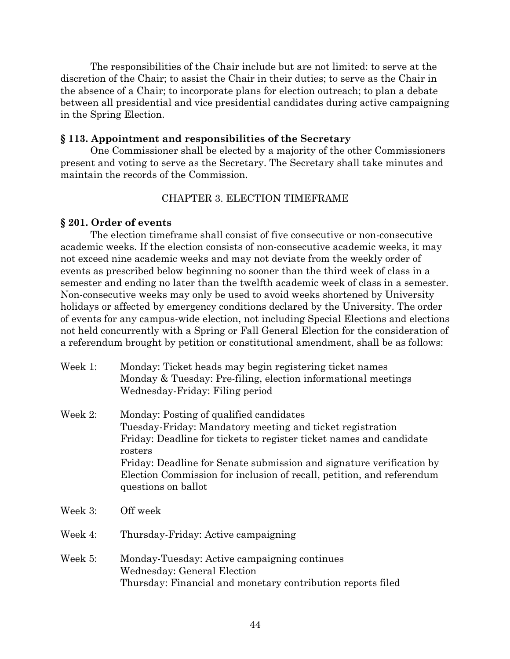The responsibilities of the Chair include but are not limited: to serve at the discretion of the Chair; to assist the Chair in their duties; to serve as the Chair in the absence of a Chair; to incorporate plans for election outreach; to plan a debate between all presidential and vice presidential candidates during active campaigning in the Spring Election.

#### **§ 113. Appointment and responsibilities of the Secretary**

One Commissioner shall be elected by a majority of the other Commissioners present and voting to serve as the Secretary. The Secretary shall take minutes and maintain the records of the Commission.

## CHAPTER 3. ELECTION TIMEFRAME

#### **§ 201. Order of events**

The election timeframe shall consist of five consecutive or non-consecutive academic weeks. If the election consists of non-consecutive academic weeks, it may not exceed nine academic weeks and may not deviate from the weekly order of events as prescribed below beginning no sooner than the third week of class in a semester and ending no later than the twelfth academic week of class in a semester. Non-consecutive weeks may only be used to avoid weeks shortened by University holidays or affected by emergency conditions declared by the University. The order of events for any campus-wide election, not including Special Elections and elections not held concurrently with a Spring or Fall General Election for the consideration of a referendum brought by petition or constitutional amendment, shall be as follows:

| Week 1: | Monday: Ticket heads may begin registering ticket names       |
|---------|---------------------------------------------------------------|
|         | Monday & Tuesday: Pre-filing, election informational meetings |
|         | Wednesday-Friday: Filing period                               |

- Week 2: Monday: Posting of qualified candidates Tuesday-Friday: Mandatory meeting and ticket registration Friday: Deadline for tickets to register ticket names and candidate rosters Friday: Deadline for Senate submission and signature verification by Election Commission for inclusion of recall, petition, and referendum questions on ballot
- Week 3: Off week
- Week 4: Thursday-Friday: Active campaigning
- Week 5: Monday-Tuesday: Active campaigning continues Wednesday: General Election Thursday: Financial and monetary contribution reports filed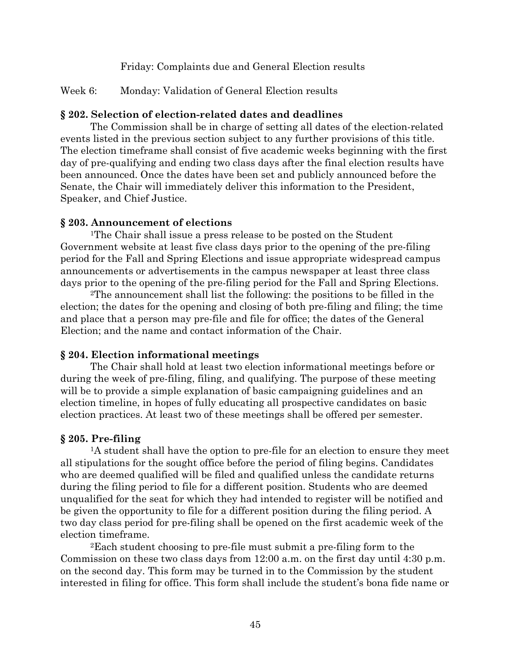Friday: Complaints due and General Election results

# Week 6: Monday: Validation of General Election results

## **§ 202. Selection of election-related dates and deadlines**

The Commission shall be in charge of setting all dates of the election-related events listed in the previous section subject to any further provisions of this title. The election timeframe shall consist of five academic weeks beginning with the first day of pre-qualifying and ending two class days after the final election results have been announced. Once the dates have been set and publicly announced before the Senate, the Chair will immediately deliver this information to the President, Speaker, and Chief Justice.

## **§ 203. Announcement of elections**

1The Chair shall issue a press release to be posted on the Student Government website at least five class days prior to the opening of the pre-filing period for the Fall and Spring Elections and issue appropriate widespread campus announcements or advertisements in the campus newspaper at least three class days prior to the opening of the pre-filing period for the Fall and Spring Elections.

2The announcement shall list the following: the positions to be filled in the election; the dates for the opening and closing of both pre-filing and filing; the time and place that a person may pre-file and file for office; the dates of the General Election; and the name and contact information of the Chair.

# **§ 204. Election informational meetings**

The Chair shall hold at least two election informational meetings before or during the week of pre-filing, filing, and qualifying. The purpose of these meeting will be to provide a simple explanation of basic campaigning guidelines and an election timeline, in hopes of fully educating all prospective candidates on basic election practices. At least two of these meetings shall be offered per semester.

# **§ 205. Pre-filing**

1A student shall have the option to pre-file for an election to ensure they meet all stipulations for the sought office before the period of filing begins. Candidates who are deemed qualified will be filed and qualified unless the candidate returns during the filing period to file for a different position. Students who are deemed unqualified for the seat for which they had intended to register will be notified and be given the opportunity to file for a different position during the filing period. A two day class period for pre-filing shall be opened on the first academic week of the election timeframe.

2Each student choosing to pre-file must submit a pre-filing form to the Commission on these two class days from 12:00 a.m. on the first day until 4:30 p.m. on the second day. This form may be turned in to the Commission by the student interested in filing for office. This form shall include the student's bona fide name or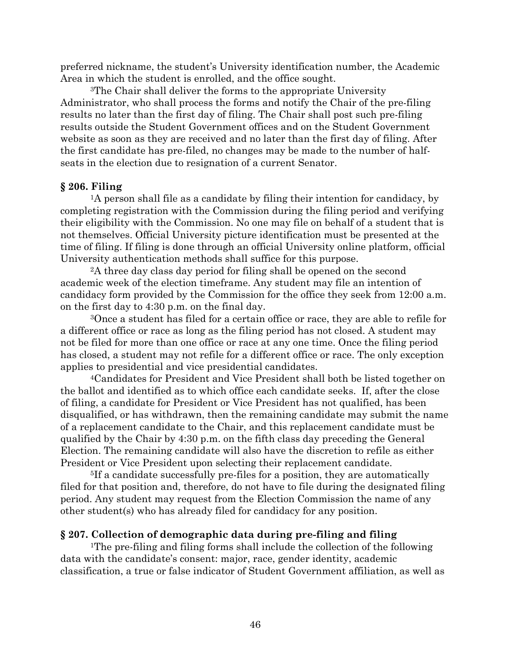preferred nickname, the student's University identification number, the Academic Area in which the student is enrolled, and the office sought.

3The Chair shall deliver the forms to the appropriate University Administrator, who shall process the forms and notify the Chair of the pre-filing results no later than the first day of filing. The Chair shall post such pre-filing results outside the Student Government offices and on the Student Government website as soon as they are received and no later than the first day of filing. After the first candidate has pre-filed, no changes may be made to the number of halfseats in the election due to resignation of a current Senator.

#### **§ 206. Filing**

<sup>1</sup>A person shall file as a candidate by filing their intention for candidacy, by completing registration with the Commission during the filing period and verifying their eligibility with the Commission. No one may file on behalf of a student that is not themselves. Official University picture identification must be presented at the time of filing. If filing is done through an official University online platform, official University authentication methods shall suffice for this purpose.

2A three day class day period for filing shall be opened on the second academic week of the election timeframe. Any student may file an intention of candidacy form provided by the Commission for the office they seek from 12:00 a.m. on the first day to 4:30 p.m. on the final day.

3Once a student has filed for a certain office or race, they are able to refile for a different office or race as long as the filing period has not closed. A student may not be filed for more than one office or race at any one time. Once the filing period has closed, a student may not refile for a different office or race. The only exception applies to presidential and vice presidential candidates.

4Candidates for President and Vice President shall both be listed together on the ballot and identified as to which office each candidate seeks. If, after the close of filing, a candidate for President or Vice President has not qualified, has been disqualified, or has withdrawn, then the remaining candidate may submit the name of a replacement candidate to the Chair, and this replacement candidate must be qualified by the Chair by 4:30 p.m. on the fifth class day preceding the General Election. The remaining candidate will also have the discretion to refile as either President or Vice President upon selecting their replacement candidate.

5If a candidate successfully pre-files for a position, they are automatically filed for that position and, therefore, do not have to file during the designated filing period. Any student may request from the Election Commission the name of any other student(s) who has already filed for candidacy for any position.

#### **§ 207. Collection of demographic data during pre-filing and filing**

1The pre-filing and filing forms shall include the collection of the following data with the candidate's consent: major, race, gender identity, academic classification, a true or false indicator of Student Government affiliation, as well as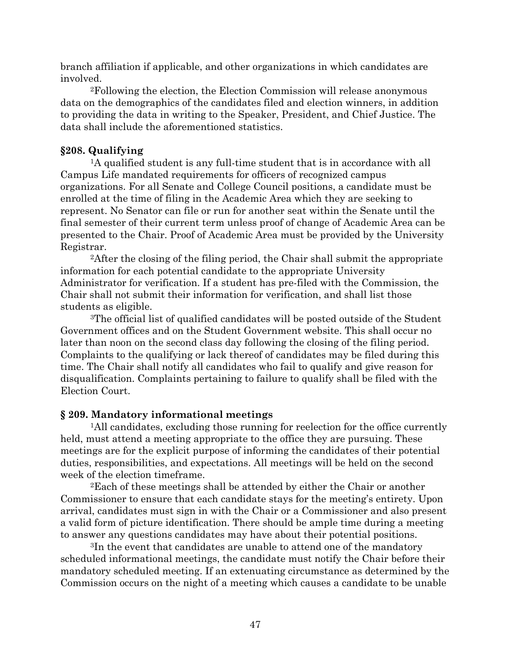branch affiliation if applicable, and other organizations in which candidates are involved.

2Following the election, the Election Commission will release anonymous data on the demographics of the candidates filed and election winners, in addition to providing the data in writing to the Speaker, President, and Chief Justice. The data shall include the aforementioned statistics.

# **§208. Qualifying**

1A qualified student is any full-time student that is in accordance with all Campus Life mandated requirements for officers of recognized campus organizations. For all Senate and College Council positions, a candidate must be enrolled at the time of filing in the Academic Area which they are seeking to represent. No Senator can file or run for another seat within the Senate until the final semester of their current term unless proof of change of Academic Area can be presented to the Chair. Proof of Academic Area must be provided by the University Registrar.

2After the closing of the filing period, the Chair shall submit the appropriate information for each potential candidate to the appropriate University Administrator for verification. If a student has pre-filed with the Commission, the Chair shall not submit their information for verification, and shall list those students as eligible.

3The official list of qualified candidates will be posted outside of the Student Government offices and on the Student Government website. This shall occur no later than noon on the second class day following the closing of the filing period. Complaints to the qualifying or lack thereof of candidates may be filed during this time. The Chair shall notify all candidates who fail to qualify and give reason for disqualification. Complaints pertaining to failure to qualify shall be filed with the Election Court.

## **§ 209. Mandatory informational meetings**

<sup>1</sup>All candidates, excluding those running for reelection for the office currently held, must attend a meeting appropriate to the office they are pursuing. These meetings are for the explicit purpose of informing the candidates of their potential duties, responsibilities, and expectations. All meetings will be held on the second week of the election timeframe.

2Each of these meetings shall be attended by either the Chair or another Commissioner to ensure that each candidate stays for the meeting's entirety. Upon arrival, candidates must sign in with the Chair or a Commissioner and also present a valid form of picture identification. There should be ample time during a meeting to answer any questions candidates may have about their potential positions.

3In the event that candidates are unable to attend one of the mandatory scheduled informational meetings, the candidate must notify the Chair before their mandatory scheduled meeting. If an extenuating circumstance as determined by the Commission occurs on the night of a meeting which causes a candidate to be unable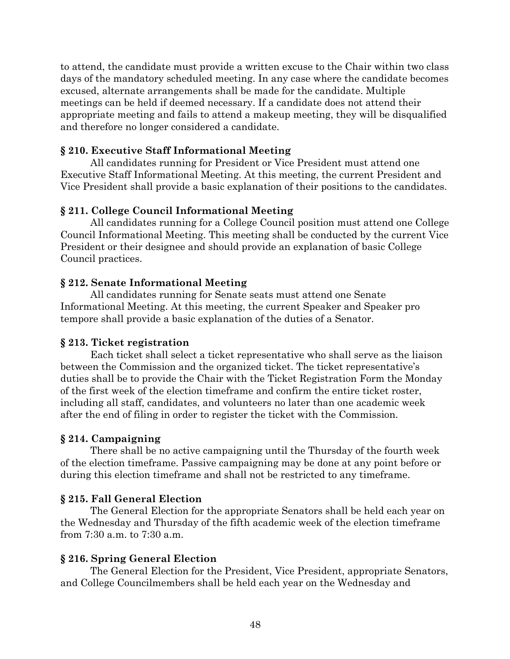to attend, the candidate must provide a written excuse to the Chair within two class days of the mandatory scheduled meeting. In any case where the candidate becomes excused, alternate arrangements shall be made for the candidate. Multiple meetings can be held if deemed necessary. If a candidate does not attend their appropriate meeting and fails to attend a makeup meeting, they will be disqualified and therefore no longer considered a candidate.

## **§ 210. Executive Staff Informational Meeting**

All candidates running for President or Vice President must attend one Executive Staff Informational Meeting. At this meeting, the current President and Vice President shall provide a basic explanation of their positions to the candidates.

# **§ 211. College Council Informational Meeting**

All candidates running for a College Council position must attend one College Council Informational Meeting. This meeting shall be conducted by the current Vice President or their designee and should provide an explanation of basic College Council practices.

# **§ 212. Senate Informational Meeting**

All candidates running for Senate seats must attend one Senate Informational Meeting. At this meeting, the current Speaker and Speaker pro tempore shall provide a basic explanation of the duties of a Senator.

## **§ 213. Ticket registration**

Each ticket shall select a ticket representative who shall serve as the liaison between the Commission and the organized ticket. The ticket representative's duties shall be to provide the Chair with the Ticket Registration Form the Monday of the first week of the election timeframe and confirm the entire ticket roster, including all staff, candidates, and volunteers no later than one academic week after the end of filing in order to register the ticket with the Commission.

# **§ 214. Campaigning**

There shall be no active campaigning until the Thursday of the fourth week of the election timeframe. Passive campaigning may be done at any point before or during this election timeframe and shall not be restricted to any timeframe.

# **§ 215. Fall General Election**

The General Election for the appropriate Senators shall be held each year on the Wednesday and Thursday of the fifth academic week of the election timeframe from 7:30 a.m. to 7:30 a.m.

# **§ 216. Spring General Election**

The General Election for the President, Vice President, appropriate Senators, and College Councilmembers shall be held each year on the Wednesday and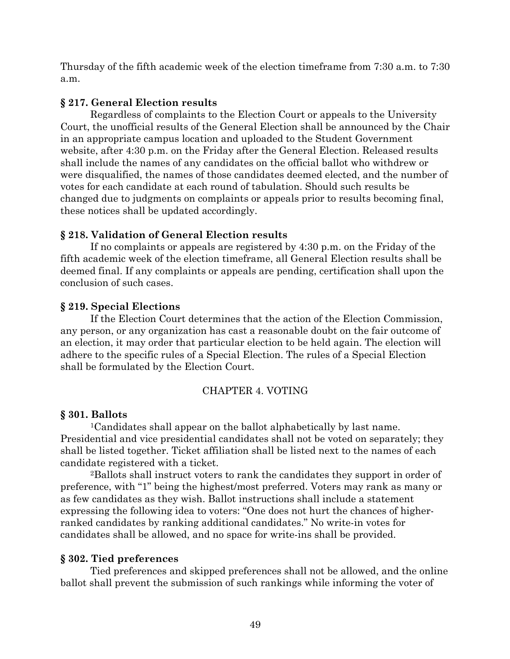Thursday of the fifth academic week of the election timeframe from 7:30 a.m. to 7:30 a.m.

# **§ 217. General Election results**

Regardless of complaints to the Election Court or appeals to the University Court, the unofficial results of the General Election shall be announced by the Chair in an appropriate campus location and uploaded to the Student Government website, after 4:30 p.m. on the Friday after the General Election. Released results shall include the names of any candidates on the official ballot who withdrew or were disqualified, the names of those candidates deemed elected, and the number of votes for each candidate at each round of tabulation. Should such results be changed due to judgments on complaints or appeals prior to results becoming final, these notices shall be updated accordingly.

# **§ 218. Validation of General Election results**

If no complaints or appeals are registered by 4:30 p.m. on the Friday of the fifth academic week of the election timeframe, all General Election results shall be deemed final. If any complaints or appeals are pending, certification shall upon the conclusion of such cases.

# **§ 219. Special Elections**

If the Election Court determines that the action of the Election Commission, any person, or any organization has cast a reasonable doubt on the fair outcome of an election, it may order that particular election to be held again. The election will adhere to the specific rules of a Special Election. The rules of a Special Election shall be formulated by the Election Court.

# CHAPTER 4. VOTING

## **§ 301. Ballots**

1Candidates shall appear on the ballot alphabetically by last name. Presidential and vice presidential candidates shall not be voted on separately; they shall be listed together. Ticket affiliation shall be listed next to the names of each candidate registered with a ticket.

2Ballots shall instruct voters to rank the candidates they support in order of preference, with "1" being the highest/most preferred. Voters may rank as many or as few candidates as they wish. Ballot instructions shall include a statement expressing the following idea to voters: "One does not hurt the chances of higherranked candidates by ranking additional candidates." No write-in votes for candidates shall be allowed, and no space for write-ins shall be provided.

# **§ 302. Tied preferences**

Tied preferences and skipped preferences shall not be allowed, and the online ballot shall prevent the submission of such rankings while informing the voter of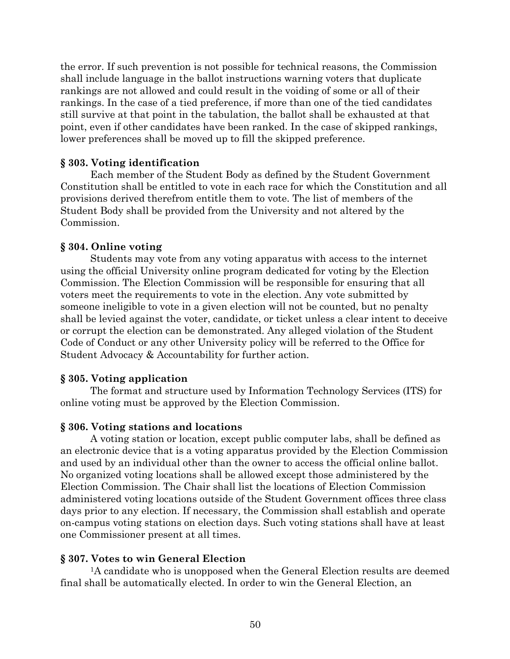the error. If such prevention is not possible for technical reasons, the Commission shall include language in the ballot instructions warning voters that duplicate rankings are not allowed and could result in the voiding of some or all of their rankings. In the case of a tied preference, if more than one of the tied candidates still survive at that point in the tabulation, the ballot shall be exhausted at that point, even if other candidates have been ranked. In the case of skipped rankings, lower preferences shall be moved up to fill the skipped preference.

### **§ 303. Voting identification**

Each member of the Student Body as defined by the Student Government Constitution shall be entitled to vote in each race for which the Constitution and all provisions derived therefrom entitle them to vote. The list of members of the Student Body shall be provided from the University and not altered by the Commission.

## **§ 304. Online voting**

Students may vote from any voting apparatus with access to the internet using the official University online program dedicated for voting by the Election Commission. The Election Commission will be responsible for ensuring that all voters meet the requirements to vote in the election. Any vote submitted by someone ineligible to vote in a given election will not be counted, but no penalty shall be levied against the voter, candidate, or ticket unless a clear intent to deceive or corrupt the election can be demonstrated. Any alleged violation of the Student Code of Conduct or any other University policy will be referred to the Office for Student Advocacy & Accountability for further action.

### **§ 305. Voting application**

The format and structure used by Information Technology Services (ITS) for online voting must be approved by the Election Commission.

### **§ 306. Voting stations and locations**

A voting station or location, except public computer labs, shall be defined as an electronic device that is a voting apparatus provided by the Election Commission and used by an individual other than the owner to access the official online ballot. No organized voting locations shall be allowed except those administered by the Election Commission. The Chair shall list the locations of Election Commission administered voting locations outside of the Student Government offices three class days prior to any election. If necessary, the Commission shall establish and operate on-campus voting stations on election days. Such voting stations shall have at least one Commissioner present at all times.

### **§ 307. Votes to win General Election**

<sup>1</sup>A candidate who is unopposed when the General Election results are deemed final shall be automatically elected. In order to win the General Election, an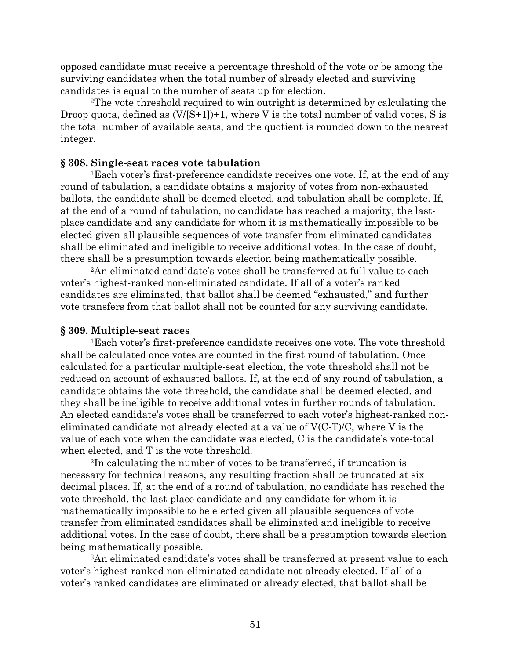opposed candidate must receive a percentage threshold of the vote or be among the surviving candidates when the total number of already elected and surviving candidates is equal to the number of seats up for election.

2The vote threshold required to win outright is determined by calculating the Droop quota, defined as  $(V/[S+1])+1$ , where V is the total number of valid votes, S is the total number of available seats, and the quotient is rounded down to the nearest integer.

### **§ 308. Single-seat races vote tabulation**

1Each voter's first-preference candidate receives one vote. If, at the end of any round of tabulation, a candidate obtains a majority of votes from non-exhausted ballots, the candidate shall be deemed elected, and tabulation shall be complete. If, at the end of a round of tabulation, no candidate has reached a majority, the lastplace candidate and any candidate for whom it is mathematically impossible to be elected given all plausible sequences of vote transfer from eliminated candidates shall be eliminated and ineligible to receive additional votes. In the case of doubt, there shall be a presumption towards election being mathematically possible.

2An eliminated candidate's votes shall be transferred at full value to each voter's highest-ranked non-eliminated candidate. If all of a voter's ranked candidates are eliminated, that ballot shall be deemed "exhausted," and further vote transfers from that ballot shall not be counted for any surviving candidate.

### **§ 309. Multiple-seat races**

1Each voter's first-preference candidate receives one vote. The vote threshold shall be calculated once votes are counted in the first round of tabulation. Once calculated for a particular multiple-seat election, the vote threshold shall not be reduced on account of exhausted ballots. If, at the end of any round of tabulation, a candidate obtains the vote threshold, the candidate shall be deemed elected, and they shall be ineligible to receive additional votes in further rounds of tabulation. An elected candidate's votes shall be transferred to each voter's highest-ranked noneliminated candidate not already elected at a value of V(C-T)/C, where V is the value of each vote when the candidate was elected, C is the candidate's vote-total when elected, and T is the vote threshold.

2In calculating the number of votes to be transferred, if truncation is necessary for technical reasons, any resulting fraction shall be truncated at six decimal places. If, at the end of a round of tabulation, no candidate has reached the vote threshold, the last-place candidate and any candidate for whom it is mathematically impossible to be elected given all plausible sequences of vote transfer from eliminated candidates shall be eliminated and ineligible to receive additional votes. In the case of doubt, there shall be a presumption towards election being mathematically possible.

3An eliminated candidate's votes shall be transferred at present value to each voter's highest-ranked non-eliminated candidate not already elected. If all of a voter's ranked candidates are eliminated or already elected, that ballot shall be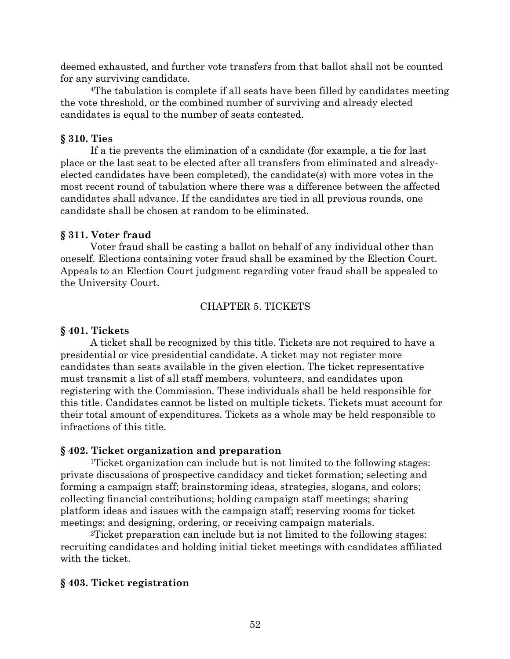deemed exhausted, and further vote transfers from that ballot shall not be counted for any surviving candidate.

4The tabulation is complete if all seats have been filled by candidates meeting the vote threshold, or the combined number of surviving and already elected candidates is equal to the number of seats contested.

## **§ 310. Ties**

If a tie prevents the elimination of a candidate (for example, a tie for last place or the last seat to be elected after all transfers from eliminated and alreadyelected candidates have been completed), the candidate(s) with more votes in the most recent round of tabulation where there was a difference between the affected candidates shall advance. If the candidates are tied in all previous rounds, one candidate shall be chosen at random to be eliminated.

## **§ 311. Voter fraud**

Voter fraud shall be casting a ballot on behalf of any individual other than oneself. Elections containing voter fraud shall be examined by the Election Court. Appeals to an Election Court judgment regarding voter fraud shall be appealed to the University Court.

## CHAPTER 5. TICKETS

### **§ 401. Tickets**

A ticket shall be recognized by this title. Tickets are not required to have a presidential or vice presidential candidate. A ticket may not register more candidates than seats available in the given election. The ticket representative must transmit a list of all staff members, volunteers, and candidates upon registering with the Commission. These individuals shall be held responsible for this title. Candidates cannot be listed on multiple tickets. Tickets must account for their total amount of expenditures. Tickets as a whole may be held responsible to infractions of this title.

## **§ 402. Ticket organization and preparation**

1Ticket organization can include but is not limited to the following stages: private discussions of prospective candidacy and ticket formation; selecting and forming a campaign staff; brainstorming ideas, strategies, slogans, and colors; collecting financial contributions; holding campaign staff meetings; sharing platform ideas and issues with the campaign staff; reserving rooms for ticket meetings; and designing, ordering, or receiving campaign materials.

2Ticket preparation can include but is not limited to the following stages: recruiting candidates and holding initial ticket meetings with candidates affiliated with the ticket.

## **§ 403. Ticket registration**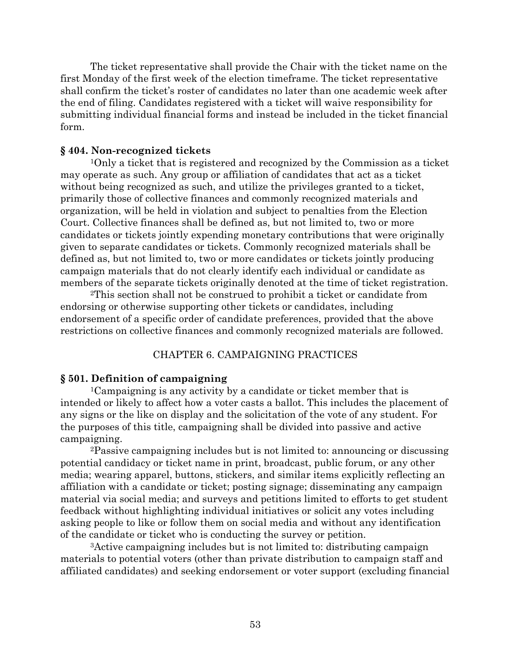The ticket representative shall provide the Chair with the ticket name on the first Monday of the first week of the election timeframe. The ticket representative shall confirm the ticket's roster of candidates no later than one academic week after the end of filing. Candidates registered with a ticket will waive responsibility for submitting individual financial forms and instead be included in the ticket financial form.

### **§ 404. Non-recognized tickets**

1Only a ticket that is registered and recognized by the Commission as a ticket may operate as such. Any group or affiliation of candidates that act as a ticket without being recognized as such, and utilize the privileges granted to a ticket, primarily those of collective finances and commonly recognized materials and organization, will be held in violation and subject to penalties from the Election Court. Collective finances shall be defined as, but not limited to, two or more candidates or tickets jointly expending monetary contributions that were originally given to separate candidates or tickets. Commonly recognized materials shall be defined as, but not limited to, two or more candidates or tickets jointly producing campaign materials that do not clearly identify each individual or candidate as members of the separate tickets originally denoted at the time of ticket registration.

2This section shall not be construed to prohibit a ticket or candidate from endorsing or otherwise supporting other tickets or candidates, including endorsement of a specific order of candidate preferences, provided that the above restrictions on collective finances and commonly recognized materials are followed.

### CHAPTER 6. CAMPAIGNING PRACTICES

### **§ 501. Definition of campaigning**

1Campaigning is any activity by a candidate or ticket member that is intended or likely to affect how a voter casts a ballot. This includes the placement of any signs or the like on display and the solicitation of the vote of any student. For the purposes of this title, campaigning shall be divided into passive and active campaigning.

2Passive campaigning includes but is not limited to: announcing or discussing potential candidacy or ticket name in print, broadcast, public forum, or any other media; wearing apparel, buttons, stickers, and similar items explicitly reflecting an affiliation with a candidate or ticket; posting signage; disseminating any campaign material via social media; and surveys and petitions limited to efforts to get student feedback without highlighting individual initiatives or solicit any votes including asking people to like or follow them on social media and without any identification of the candidate or ticket who is conducting the survey or petition.

3Active campaigning includes but is not limited to: distributing campaign materials to potential voters (other than private distribution to campaign staff and affiliated candidates) and seeking endorsement or voter support (excluding financial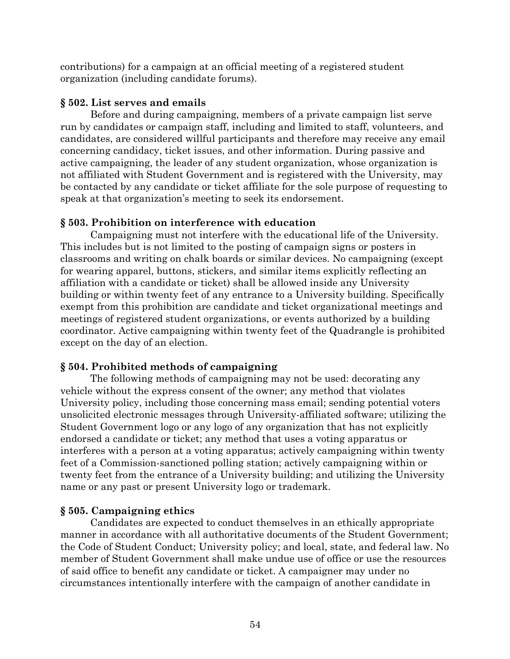contributions) for a campaign at an official meeting of a registered student organization (including candidate forums).

# **§ 502. List serves and emails**

Before and during campaigning, members of a private campaign list serve run by candidates or campaign staff, including and limited to staff, volunteers, and candidates, are considered willful participants and therefore may receive any email concerning candidacy, ticket issues, and other information. During passive and active campaigning, the leader of any student organization, whose organization is not affiliated with Student Government and is registered with the University, may be contacted by any candidate or ticket affiliate for the sole purpose of requesting to speak at that organization's meeting to seek its endorsement.

# **§ 503. Prohibition on interference with education**

Campaigning must not interfere with the educational life of the University. This includes but is not limited to the posting of campaign signs or posters in classrooms and writing on chalk boards or similar devices. No campaigning (except for wearing apparel, buttons, stickers, and similar items explicitly reflecting an affiliation with a candidate or ticket) shall be allowed inside any University building or within twenty feet of any entrance to a University building. Specifically exempt from this prohibition are candidate and ticket organizational meetings and meetings of registered student organizations, or events authorized by a building coordinator. Active campaigning within twenty feet of the Quadrangle is prohibited except on the day of an election.

# **§ 504. Prohibited methods of campaigning**

The following methods of campaigning may not be used: decorating any vehicle without the express consent of the owner; any method that violates University policy, including those concerning mass email; sending potential voters unsolicited electronic messages through University-affiliated software; utilizing the Student Government logo or any logo of any organization that has not explicitly endorsed a candidate or ticket; any method that uses a voting apparatus or interferes with a person at a voting apparatus; actively campaigning within twenty feet of a Commission-sanctioned polling station; actively campaigning within or twenty feet from the entrance of a University building; and utilizing the University name or any past or present University logo or trademark.

# **§ 505. Campaigning ethics**

Candidates are expected to conduct themselves in an ethically appropriate manner in accordance with all authoritative documents of the Student Government; the Code of Student Conduct; University policy; and local, state, and federal law. No member of Student Government shall make undue use of office or use the resources of said office to benefit any candidate or ticket. A campaigner may under no circumstances intentionally interfere with the campaign of another candidate in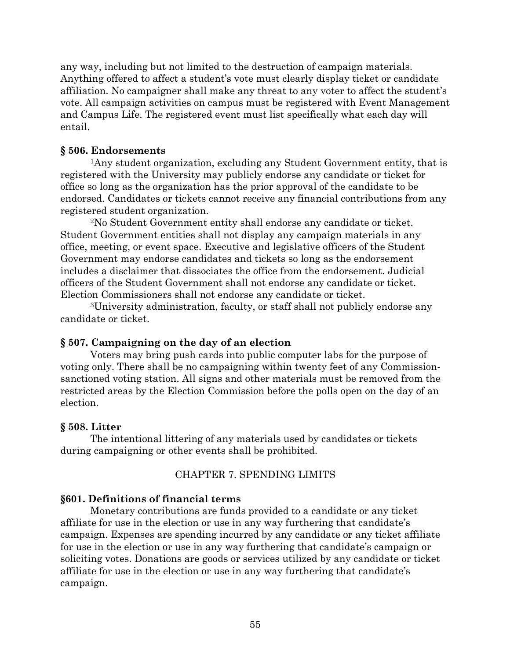any way, including but not limited to the destruction of campaign materials. Anything offered to affect a student's vote must clearly display ticket or candidate affiliation. No campaigner shall make any threat to any voter to affect the student's vote. All campaign activities on campus must be registered with Event Management and Campus Life. The registered event must list specifically what each day will entail.

## **§ 506. Endorsements**

1Any student organization, excluding any Student Government entity, that is registered with the University may publicly endorse any candidate or ticket for office so long as the organization has the prior approval of the candidate to be endorsed. Candidates or tickets cannot receive any financial contributions from any registered student organization.

2No Student Government entity shall endorse any candidate or ticket. Student Government entities shall not display any campaign materials in any office, meeting, or event space. Executive and legislative officers of the Student Government may endorse candidates and tickets so long as the endorsement includes a disclaimer that dissociates the office from the endorsement. Judicial officers of the Student Government shall not endorse any candidate or ticket. Election Commissioners shall not endorse any candidate or ticket.

3University administration, faculty, or staff shall not publicly endorse any candidate or ticket.

## **§ 507. Campaigning on the day of an election**

Voters may bring push cards into public computer labs for the purpose of voting only. There shall be no campaigning within twenty feet of any Commissionsanctioned voting station. All signs and other materials must be removed from the restricted areas by the Election Commission before the polls open on the day of an election.

## **§ 508. Litter**

The intentional littering of any materials used by candidates or tickets during campaigning or other events shall be prohibited.

## CHAPTER 7. SPENDING LIMITS

## **§601. Definitions of financial terms**

Monetary contributions are funds provided to a candidate or any ticket affiliate for use in the election or use in any way furthering that candidate's campaign. Expenses are spending incurred by any candidate or any ticket affiliate for use in the election or use in any way furthering that candidate's campaign or soliciting votes. Donations are goods or services utilized by any candidate or ticket affiliate for use in the election or use in any way furthering that candidate's campaign.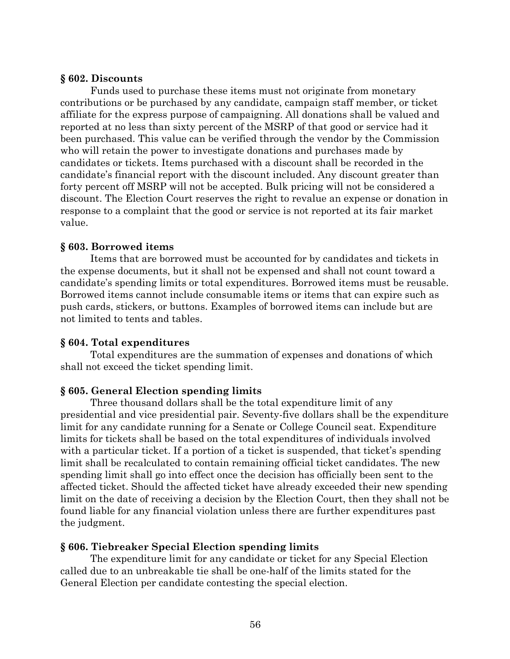## **§ 602. Discounts**

Funds used to purchase these items must not originate from monetary contributions or be purchased by any candidate, campaign staff member, or ticket affiliate for the express purpose of campaigning. All donations shall be valued and reported at no less than sixty percent of the MSRP of that good or service had it been purchased. This value can be verified through the vendor by the Commission who will retain the power to investigate donations and purchases made by candidates or tickets. Items purchased with a discount shall be recorded in the candidate's financial report with the discount included. Any discount greater than forty percent off MSRP will not be accepted. Bulk pricing will not be considered a discount. The Election Court reserves the right to revalue an expense or donation in response to a complaint that the good or service is not reported at its fair market value.

## **§ 603. Borrowed items**

Items that are borrowed must be accounted for by candidates and tickets in the expense documents, but it shall not be expensed and shall not count toward a candidate's spending limits or total expenditures. Borrowed items must be reusable. Borrowed items cannot include consumable items or items that can expire such as push cards, stickers, or buttons. Examples of borrowed items can include but are not limited to tents and tables.

## **§ 604. Total expenditures**

Total expenditures are the summation of expenses and donations of which shall not exceed the ticket spending limit.

## **§ 605. General Election spending limits**

Three thousand dollars shall be the total expenditure limit of any presidential and vice presidential pair. Seventy-five dollars shall be the expenditure limit for any candidate running for a Senate or College Council seat. Expenditure limits for tickets shall be based on the total expenditures of individuals involved with a particular ticket. If a portion of a ticket is suspended, that ticket's spending limit shall be recalculated to contain remaining official ticket candidates. The new spending limit shall go into effect once the decision has officially been sent to the affected ticket. Should the affected ticket have already exceeded their new spending limit on the date of receiving a decision by the Election Court, then they shall not be found liable for any financial violation unless there are further expenditures past the judgment.

### **§ 606. Tiebreaker Special Election spending limits**

The expenditure limit for any candidate or ticket for any Special Election called due to an unbreakable tie shall be one-half of the limits stated for the General Election per candidate contesting the special election.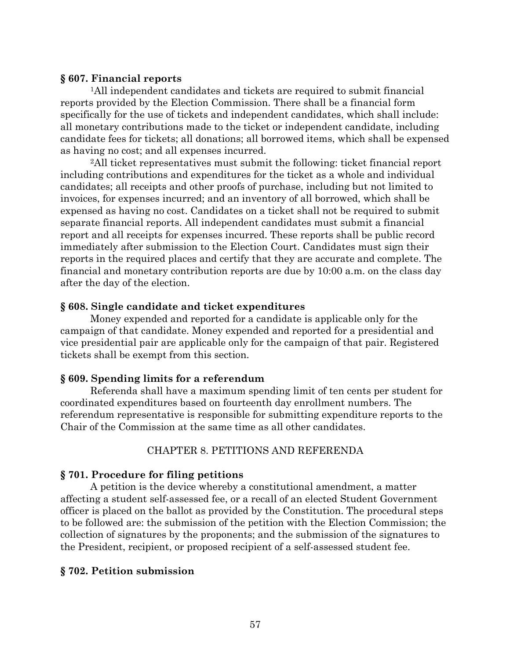### **§ 607. Financial reports**

1All independent candidates and tickets are required to submit financial reports provided by the Election Commission. There shall be a financial form specifically for the use of tickets and independent candidates, which shall include: all monetary contributions made to the ticket or independent candidate, including candidate fees for tickets; all donations; all borrowed items, which shall be expensed as having no cost; and all expenses incurred.

2All ticket representatives must submit the following: ticket financial report including contributions and expenditures for the ticket as a whole and individual candidates; all receipts and other proofs of purchase, including but not limited to invoices, for expenses incurred; and an inventory of all borrowed, which shall be expensed as having no cost. Candidates on a ticket shall not be required to submit separate financial reports. All independent candidates must submit a financial report and all receipts for expenses incurred. These reports shall be public record immediately after submission to the Election Court. Candidates must sign their reports in the required places and certify that they are accurate and complete. The financial and monetary contribution reports are due by 10:00 a.m. on the class day after the day of the election.

## **§ 608. Single candidate and ticket expenditures**

Money expended and reported for a candidate is applicable only for the campaign of that candidate. Money expended and reported for a presidential and vice presidential pair are applicable only for the campaign of that pair. Registered tickets shall be exempt from this section.

### **§ 609. Spending limits for a referendum**

Referenda shall have a maximum spending limit of ten cents per student for coordinated expenditures based on fourteenth day enrollment numbers. The referendum representative is responsible for submitting expenditure reports to the Chair of the Commission at the same time as all other candidates.

### CHAPTER 8. PETITIONS AND REFERENDA

### **§ 701. Procedure for filing petitions**

A petition is the device whereby a constitutional amendment, a matter affecting a student self-assessed fee, or a recall of an elected Student Government officer is placed on the ballot as provided by the Constitution. The procedural steps to be followed are: the submission of the petition with the Election Commission; the collection of signatures by the proponents; and the submission of the signatures to the President, recipient, or proposed recipient of a self-assessed student fee.

## **§ 702. Petition submission**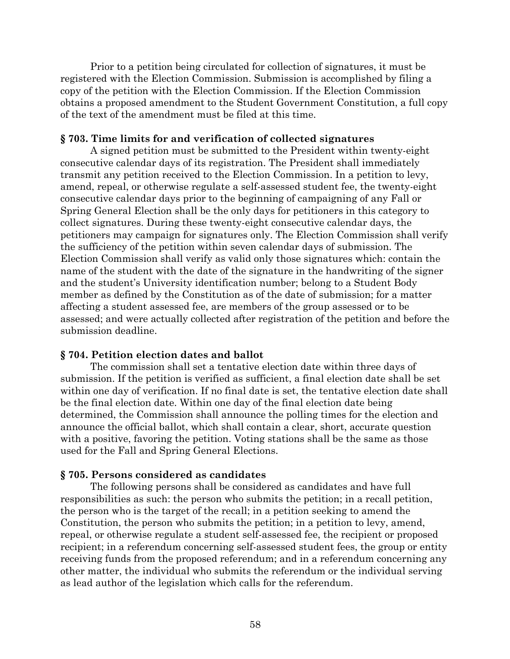Prior to a petition being circulated for collection of signatures, it must be registered with the Election Commission. Submission is accomplished by filing a copy of the petition with the Election Commission. If the Election Commission obtains a proposed amendment to the Student Government Constitution, a full copy of the text of the amendment must be filed at this time.

#### **§ 703. Time limits for and verification of collected signatures**

A signed petition must be submitted to the President within twenty-eight consecutive calendar days of its registration. The President shall immediately transmit any petition received to the Election Commission. In a petition to levy, amend, repeal, or otherwise regulate a self-assessed student fee, the twenty-eight consecutive calendar days prior to the beginning of campaigning of any Fall or Spring General Election shall be the only days for petitioners in this category to collect signatures. During these twenty-eight consecutive calendar days, the petitioners may campaign for signatures only. The Election Commission shall verify the sufficiency of the petition within seven calendar days of submission. The Election Commission shall verify as valid only those signatures which: contain the name of the student with the date of the signature in the handwriting of the signer and the student's University identification number; belong to a Student Body member as defined by the Constitution as of the date of submission; for a matter affecting a student assessed fee, are members of the group assessed or to be assessed; and were actually collected after registration of the petition and before the submission deadline.

### **§ 704. Petition election dates and ballot**

The commission shall set a tentative election date within three days of submission. If the petition is verified as sufficient, a final election date shall be set within one day of verification. If no final date is set, the tentative election date shall be the final election date. Within one day of the final election date being determined, the Commission shall announce the polling times for the election and announce the official ballot, which shall contain a clear, short, accurate question with a positive, favoring the petition. Voting stations shall be the same as those used for the Fall and Spring General Elections.

#### **§ 705. Persons considered as candidates**

The following persons shall be considered as candidates and have full responsibilities as such: the person who submits the petition; in a recall petition, the person who is the target of the recall; in a petition seeking to amend the Constitution, the person who submits the petition; in a petition to levy, amend, repeal, or otherwise regulate a student self-assessed fee, the recipient or proposed recipient; in a referendum concerning self-assessed student fees, the group or entity receiving funds from the proposed referendum; and in a referendum concerning any other matter, the individual who submits the referendum or the individual serving as lead author of the legislation which calls for the referendum.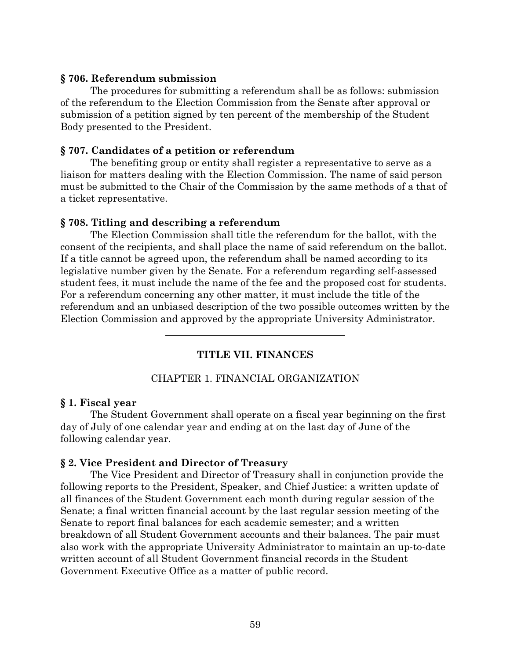#### **§ 706. Referendum submission**

The procedures for submitting a referendum shall be as follows: submission of the referendum to the Election Commission from the Senate after approval or submission of a petition signed by ten percent of the membership of the Student Body presented to the President.

#### **§ 707. Candidates of a petition or referendum**

The benefiting group or entity shall register a representative to serve as a liaison for matters dealing with the Election Commission. The name of said person must be submitted to the Chair of the Commission by the same methods of a that of a ticket representative.

#### **§ 708. Titling and describing a referendum**

The Election Commission shall title the referendum for the ballot, with the consent of the recipients, and shall place the name of said referendum on the ballot. If a title cannot be agreed upon, the referendum shall be named according to its legislative number given by the Senate. For a referendum regarding self-assessed student fees, it must include the name of the fee and the proposed cost for students. For a referendum concerning any other matter, it must include the title of the referendum and an unbiased description of the two possible outcomes written by the Election Commission and approved by the appropriate University Administrator.

**TITLE VII. FINANCES**

#### CHAPTER 1. FINANCIAL ORGANIZATION

#### **§ 1. Fiscal year**

The Student Government shall operate on a fiscal year beginning on the first day of July of one calendar year and ending at on the last day of June of the following calendar year.

#### **§ 2. Vice President and Director of Treasury**

The Vice President and Director of Treasury shall in conjunction provide the following reports to the President, Speaker, and Chief Justice: a written update of all finances of the Student Government each month during regular session of the Senate; a final written financial account by the last regular session meeting of the Senate to report final balances for each academic semester; and a written breakdown of all Student Government accounts and their balances. The pair must also work with the appropriate University Administrator to maintain an up-to-date written account of all Student Government financial records in the Student Government Executive Office as a matter of public record.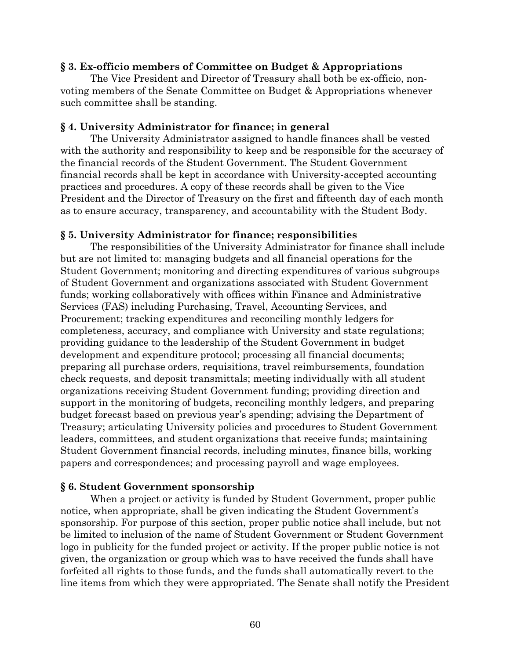## **§ 3. Ex-officio members of Committee on Budget & Appropriations**

The Vice President and Director of Treasury shall both be ex-officio, nonvoting members of the Senate Committee on Budget & Appropriations whenever such committee shall be standing.

### **§ 4. University Administrator for finance; in general**

The University Administrator assigned to handle finances shall be vested with the authority and responsibility to keep and be responsible for the accuracy of the financial records of the Student Government. The Student Government financial records shall be kept in accordance with University-accepted accounting practices and procedures. A copy of these records shall be given to the Vice President and the Director of Treasury on the first and fifteenth day of each month as to ensure accuracy, transparency, and accountability with the Student Body.

## **§ 5. University Administrator for finance; responsibilities**

The responsibilities of the University Administrator for finance shall include but are not limited to: managing budgets and all financial operations for the Student Government; monitoring and directing expenditures of various subgroups of Student Government and organizations associated with Student Government funds; working collaboratively with offices within Finance and Administrative Services (FAS) including Purchasing, Travel, Accounting Services, and Procurement; tracking expenditures and reconciling monthly ledgers for completeness, accuracy, and compliance with University and state regulations; providing guidance to the leadership of the Student Government in budget development and expenditure protocol; processing all financial documents; preparing all purchase orders, requisitions, travel reimbursements, foundation check requests, and deposit transmittals; meeting individually with all student organizations receiving Student Government funding; providing direction and support in the monitoring of budgets, reconciling monthly ledgers, and preparing budget forecast based on previous year's spending; advising the Department of Treasury; articulating University policies and procedures to Student Government leaders, committees, and student organizations that receive funds; maintaining Student Government financial records, including minutes, finance bills, working papers and correspondences; and processing payroll and wage employees.

## **§ 6. Student Government sponsorship**

When a project or activity is funded by Student Government, proper public notice, when appropriate, shall be given indicating the Student Government's sponsorship. For purpose of this section, proper public notice shall include, but not be limited to inclusion of the name of Student Government or Student Government logo in publicity for the funded project or activity. If the proper public notice is not given, the organization or group which was to have received the funds shall have forfeited all rights to those funds, and the funds shall automatically revert to the line items from which they were appropriated. The Senate shall notify the President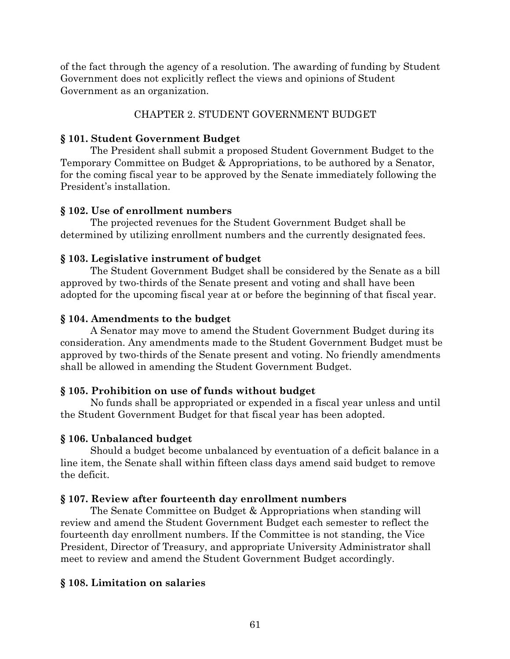of the fact through the agency of a resolution. The awarding of funding by Student Government does not explicitly reflect the views and opinions of Student Government as an organization.

# CHAPTER 2. STUDENT GOVERNMENT BUDGET

# **§ 101. Student Government Budget**

The President shall submit a proposed Student Government Budget to the Temporary Committee on Budget & Appropriations, to be authored by a Senator, for the coming fiscal year to be approved by the Senate immediately following the President's installation.

# **§ 102. Use of enrollment numbers**

The projected revenues for the Student Government Budget shall be determined by utilizing enrollment numbers and the currently designated fees.

# **§ 103. Legislative instrument of budget**

The Student Government Budget shall be considered by the Senate as a bill approved by two-thirds of the Senate present and voting and shall have been adopted for the upcoming fiscal year at or before the beginning of that fiscal year.

# **§ 104. Amendments to the budget**

A Senator may move to amend the Student Government Budget during its consideration. Any amendments made to the Student Government Budget must be approved by two-thirds of the Senate present and voting. No friendly amendments shall be allowed in amending the Student Government Budget.

# **§ 105. Prohibition on use of funds without budget**

No funds shall be appropriated or expended in a fiscal year unless and until the Student Government Budget for that fiscal year has been adopted.

# **§ 106. Unbalanced budget**

Should a budget become unbalanced by eventuation of a deficit balance in a line item, the Senate shall within fifteen class days amend said budget to remove the deficit.

# **§ 107. Review after fourteenth day enrollment numbers**

The Senate Committee on Budget & Appropriations when standing will review and amend the Student Government Budget each semester to reflect the fourteenth day enrollment numbers. If the Committee is not standing, the Vice President, Director of Treasury, and appropriate University Administrator shall meet to review and amend the Student Government Budget accordingly.

# **§ 108. Limitation on salaries**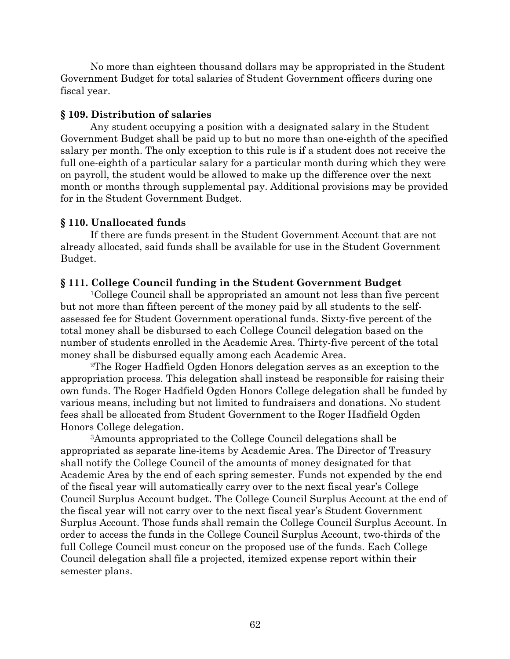No more than eighteen thousand dollars may be appropriated in the Student Government Budget for total salaries of Student Government officers during one fiscal year.

### **§ 109. Distribution of salaries**

Any student occupying a position with a designated salary in the Student Government Budget shall be paid up to but no more than one-eighth of the specified salary per month. The only exception to this rule is if a student does not receive the full one-eighth of a particular salary for a particular month during which they were on payroll, the student would be allowed to make up the difference over the next month or months through supplemental pay. Additional provisions may be provided for in the Student Government Budget.

## **§ 110. Unallocated funds**

If there are funds present in the Student Government Account that are not already allocated, said funds shall be available for use in the Student Government Budget.

## **§ 111. College Council funding in the Student Government Budget**

1College Council shall be appropriated an amount not less than five percent but not more than fifteen percent of the money paid by all students to the selfassessed fee for Student Government operational funds. Sixty-five percent of the total money shall be disbursed to each College Council delegation based on the number of students enrolled in the Academic Area. Thirty-five percent of the total money shall be disbursed equally among each Academic Area.

2The Roger Hadfield Ogden Honors delegation serves as an exception to the appropriation process. This delegation shall instead be responsible for raising their own funds. The Roger Hadfield Ogden Honors College delegation shall be funded by various means, including but not limited to fundraisers and donations. No student fees shall be allocated from Student Government to the Roger Hadfield Ogden Honors College delegation.

3Amounts appropriated to the College Council delegations shall be appropriated as separate line-items by Academic Area. The Director of Treasury shall notify the College Council of the amounts of money designated for that Academic Area by the end of each spring semester. Funds not expended by the end of the fiscal year will automatically carry over to the next fiscal year's College Council Surplus Account budget. The College Council Surplus Account at the end of the fiscal year will not carry over to the next fiscal year's Student Government Surplus Account. Those funds shall remain the College Council Surplus Account. In order to access the funds in the College Council Surplus Account, two-thirds of the full College Council must concur on the proposed use of the funds. Each College Council delegation shall file a projected, itemized expense report within their semester plans.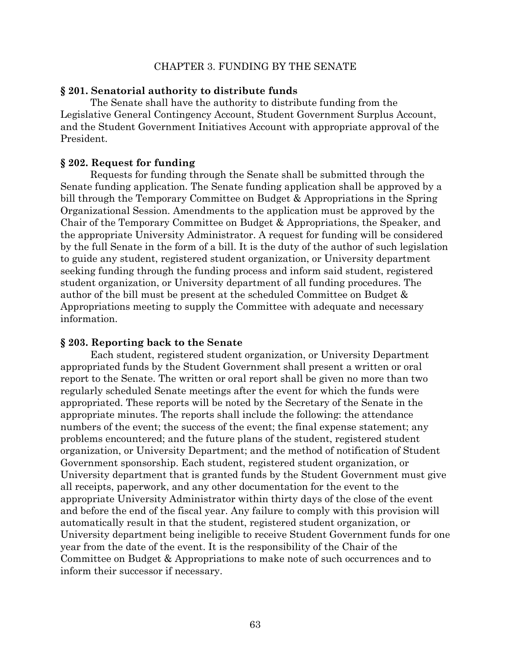#### CHAPTER 3. FUNDING BY THE SENATE

#### **§ 201. Senatorial authority to distribute funds**

The Senate shall have the authority to distribute funding from the Legislative General Contingency Account, Student Government Surplus Account, and the Student Government Initiatives Account with appropriate approval of the President.

#### **§ 202. Request for funding**

Requests for funding through the Senate shall be submitted through the Senate funding application. The Senate funding application shall be approved by a bill through the Temporary Committee on Budget & Appropriations in the Spring Organizational Session. Amendments to the application must be approved by the Chair of the Temporary Committee on Budget & Appropriations, the Speaker, and the appropriate University Administrator. A request for funding will be considered by the full Senate in the form of a bill. It is the duty of the author of such legislation to guide any student, registered student organization, or University department seeking funding through the funding process and inform said student, registered student organization, or University department of all funding procedures. The author of the bill must be present at the scheduled Committee on Budget & Appropriations meeting to supply the Committee with adequate and necessary information.

#### **§ 203. Reporting back to the Senate**

Each student, registered student organization, or University Department appropriated funds by the Student Government shall present a written or oral report to the Senate. The written or oral report shall be given no more than two regularly scheduled Senate meetings after the event for which the funds were appropriated. These reports will be noted by the Secretary of the Senate in the appropriate minutes. The reports shall include the following: the attendance numbers of the event; the success of the event; the final expense statement; any problems encountered; and the future plans of the student, registered student organization, or University Department; and the method of notification of Student Government sponsorship. Each student, registered student organization, or University department that is granted funds by the Student Government must give all receipts, paperwork, and any other documentation for the event to the appropriate University Administrator within thirty days of the close of the event and before the end of the fiscal year. Any failure to comply with this provision will automatically result in that the student, registered student organization, or University department being ineligible to receive Student Government funds for one year from the date of the event. It is the responsibility of the Chair of the Committee on Budget & Appropriations to make note of such occurrences and to inform their successor if necessary.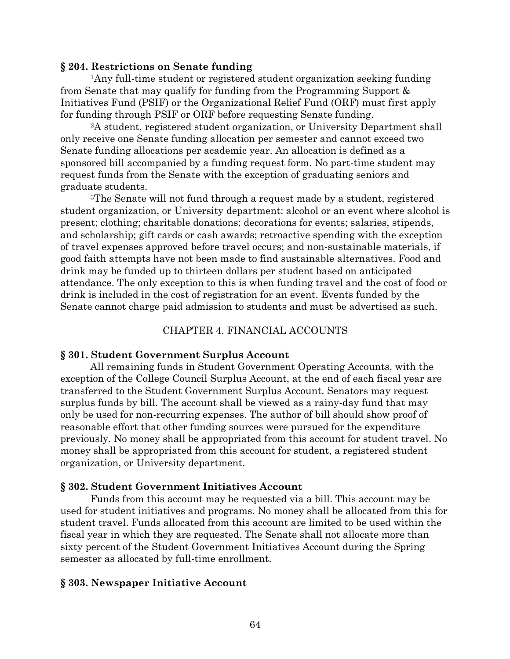### **§ 204. Restrictions on Senate funding**

1Any full-time student or registered student organization seeking funding from Senate that may qualify for funding from the Programming Support & Initiatives Fund (PSIF) or the Organizational Relief Fund (ORF) must first apply for funding through PSIF or ORF before requesting Senate funding.

2A student, registered student organization, or University Department shall only receive one Senate funding allocation per semester and cannot exceed two Senate funding allocations per academic year. An allocation is defined as a sponsored bill accompanied by a funding request form. No part-time student may request funds from the Senate with the exception of graduating seniors and graduate students.

3The Senate will not fund through a request made by a student, registered student organization, or University department: alcohol or an event where alcohol is present; clothing; charitable donations; decorations for events; salaries, stipends, and scholarship; gift cards or cash awards; retroactive spending with the exception of travel expenses approved before travel occurs; and non-sustainable materials, if good faith attempts have not been made to find sustainable alternatives. Food and drink may be funded up to thirteen dollars per student based on anticipated attendance. The only exception to this is when funding travel and the cost of food or drink is included in the cost of registration for an event. Events funded by the Senate cannot charge paid admission to students and must be advertised as such.

## CHAPTER 4. FINANCIAL ACCOUNTS

## **§ 301. Student Government Surplus Account**

All remaining funds in Student Government Operating Accounts, with the exception of the College Council Surplus Account, at the end of each fiscal year are transferred to the Student Government Surplus Account. Senators may request surplus funds by bill. The account shall be viewed as a rainy-day fund that may only be used for non-recurring expenses. The author of bill should show proof of reasonable effort that other funding sources were pursued for the expenditure previously. No money shall be appropriated from this account for student travel. No money shall be appropriated from this account for student, a registered student organization, or University department.

## **§ 302. Student Government Initiatives Account**

Funds from this account may be requested via a bill. This account may be used for student initiatives and programs. No money shall be allocated from this for student travel. Funds allocated from this account are limited to be used within the fiscal year in which they are requested. The Senate shall not allocate more than sixty percent of the Student Government Initiatives Account during the Spring semester as allocated by full-time enrollment.

## **§ 303. Newspaper Initiative Account**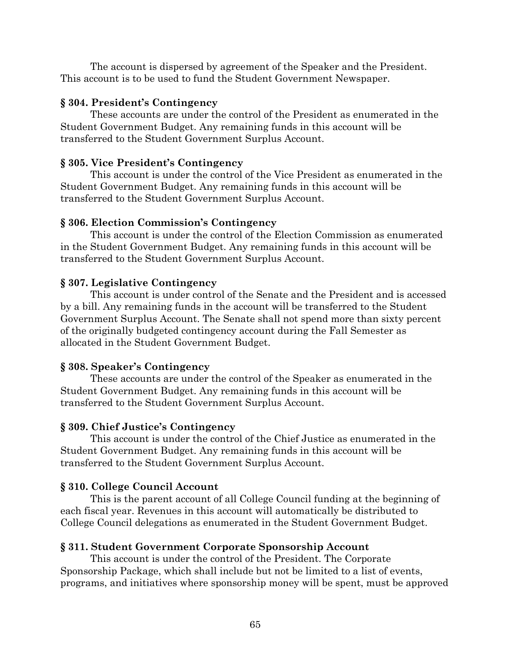The account is dispersed by agreement of the Speaker and the President. This account is to be used to fund the Student Government Newspaper.

# **§ 304. President's Contingency**

These accounts are under the control of the President as enumerated in the Student Government Budget. Any remaining funds in this account will be transferred to the Student Government Surplus Account.

# **§ 305. Vice President's Contingency**

This account is under the control of the Vice President as enumerated in the Student Government Budget. Any remaining funds in this account will be transferred to the Student Government Surplus Account.

# **§ 306. Election Commission's Contingency**

This account is under the control of the Election Commission as enumerated in the Student Government Budget. Any remaining funds in this account will be transferred to the Student Government Surplus Account.

# **§ 307. Legislative Contingency**

This account is under control of the Senate and the President and is accessed by a bill. Any remaining funds in the account will be transferred to the Student Government Surplus Account. The Senate shall not spend more than sixty percent of the originally budgeted contingency account during the Fall Semester as allocated in the Student Government Budget.

# **§ 308. Speaker's Contingency**

These accounts are under the control of the Speaker as enumerated in the Student Government Budget. Any remaining funds in this account will be transferred to the Student Government Surplus Account.

# **§ 309. Chief Justice's Contingency**

This account is under the control of the Chief Justice as enumerated in the Student Government Budget. Any remaining funds in this account will be transferred to the Student Government Surplus Account.

# **§ 310. College Council Account**

This is the parent account of all College Council funding at the beginning of each fiscal year. Revenues in this account will automatically be distributed to College Council delegations as enumerated in the Student Government Budget.

# **§ 311. Student Government Corporate Sponsorship Account**

This account is under the control of the President. The Corporate Sponsorship Package, which shall include but not be limited to a list of events, programs, and initiatives where sponsorship money will be spent, must be approved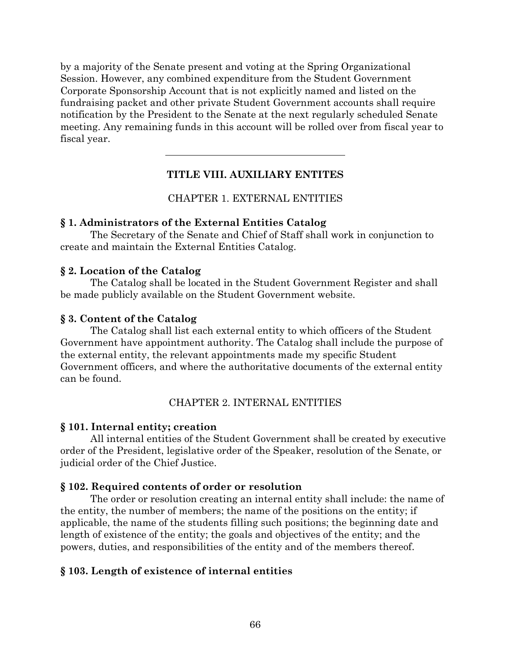by a majority of the Senate present and voting at the Spring Organizational Session. However, any combined expenditure from the Student Government Corporate Sponsorship Account that is not explicitly named and listed on the fundraising packet and other private Student Government accounts shall require notification by the President to the Senate at the next regularly scheduled Senate meeting. Any remaining funds in this account will be rolled over from fiscal year to fiscal year.

# **TITLE VIII. AUXILIARY ENTITES**

## CHAPTER 1. EXTERNAL ENTITIES

## **§ 1. Administrators of the External Entities Catalog**

The Secretary of the Senate and Chief of Staff shall work in conjunction to create and maintain the External Entities Catalog.

## **§ 2. Location of the Catalog**

The Catalog shall be located in the Student Government Register and shall be made publicly available on the Student Government website.

## **§ 3. Content of the Catalog**

The Catalog shall list each external entity to which officers of the Student Government have appointment authority. The Catalog shall include the purpose of the external entity, the relevant appointments made my specific Student Government officers, and where the authoritative documents of the external entity can be found.

## CHAPTER 2. INTERNAL ENTITIES

### **§ 101. Internal entity; creation**

All internal entities of the Student Government shall be created by executive order of the President, legislative order of the Speaker, resolution of the Senate, or judicial order of the Chief Justice.

## **§ 102. Required contents of order or resolution**

The order or resolution creating an internal entity shall include: the name of the entity, the number of members; the name of the positions on the entity; if applicable, the name of the students filling such positions; the beginning date and length of existence of the entity; the goals and objectives of the entity; and the powers, duties, and responsibilities of the entity and of the members thereof.

## **§ 103. Length of existence of internal entities**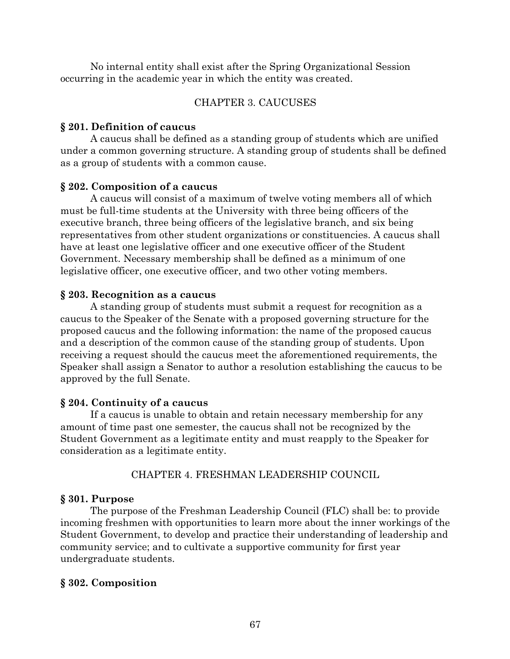No internal entity shall exist after the Spring Organizational Session occurring in the academic year in which the entity was created.

# CHAPTER 3. CAUCUSES

## **§ 201. Definition of caucus**

A caucus shall be defined as a standing group of students which are unified under a common governing structure. A standing group of students shall be defined as a group of students with a common cause.

# **§ 202. Composition of a caucus**

A caucus will consist of a maximum of twelve voting members all of which must be full-time students at the University with three being officers of the executive branch, three being officers of the legislative branch, and six being representatives from other student organizations or constituencies. A caucus shall have at least one legislative officer and one executive officer of the Student Government. Necessary membership shall be defined as a minimum of one legislative officer, one executive officer, and two other voting members.

# **§ 203. Recognition as a caucus**

A standing group of students must submit a request for recognition as a caucus to the Speaker of the Senate with a proposed governing structure for the proposed caucus and the following information: the name of the proposed caucus and a description of the common cause of the standing group of students. Upon receiving a request should the caucus meet the aforementioned requirements, the Speaker shall assign a Senator to author a resolution establishing the caucus to be approved by the full Senate.

# **§ 204. Continuity of a caucus**

If a caucus is unable to obtain and retain necessary membership for any amount of time past one semester, the caucus shall not be recognized by the Student Government as a legitimate entity and must reapply to the Speaker for consideration as a legitimate entity.

# CHAPTER 4. FRESHMAN LEADERSHIP COUNCIL

# **§ 301. Purpose**

The purpose of the Freshman Leadership Council (FLC) shall be: to provide incoming freshmen with opportunities to learn more about the inner workings of the Student Government, to develop and practice their understanding of leadership and community service; and to cultivate a supportive community for first year undergraduate students.

# **§ 302. Composition**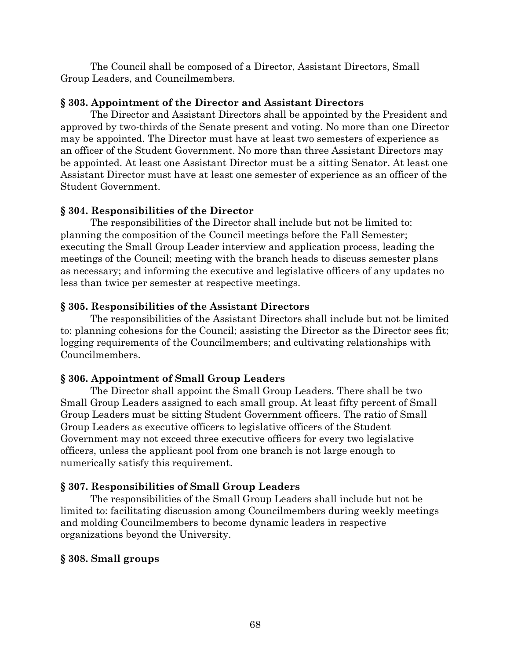The Council shall be composed of a Director, Assistant Directors, Small Group Leaders, and Councilmembers.

## **§ 303. Appointment of the Director and Assistant Directors**

The Director and Assistant Directors shall be appointed by the President and approved by two-thirds of the Senate present and voting. No more than one Director may be appointed. The Director must have at least two semesters of experience as an officer of the Student Government. No more than three Assistant Directors may be appointed. At least one Assistant Director must be a sitting Senator. At least one Assistant Director must have at least one semester of experience as an officer of the Student Government.

# **§ 304. Responsibilities of the Director**

The responsibilities of the Director shall include but not be limited to: planning the composition of the Council meetings before the Fall Semester; executing the Small Group Leader interview and application process, leading the meetings of the Council; meeting with the branch heads to discuss semester plans as necessary; and informing the executive and legislative officers of any updates no less than twice per semester at respective meetings.

# **§ 305. Responsibilities of the Assistant Directors**

The responsibilities of the Assistant Directors shall include but not be limited to: planning cohesions for the Council; assisting the Director as the Director sees fit; logging requirements of the Councilmembers; and cultivating relationships with Councilmembers.

# **§ 306. Appointment of Small Group Leaders**

The Director shall appoint the Small Group Leaders. There shall be two Small Group Leaders assigned to each small group. At least fifty percent of Small Group Leaders must be sitting Student Government officers. The ratio of Small Group Leaders as executive officers to legislative officers of the Student Government may not exceed three executive officers for every two legislative officers, unless the applicant pool from one branch is not large enough to numerically satisfy this requirement.

# **§ 307. Responsibilities of Small Group Leaders**

The responsibilities of the Small Group Leaders shall include but not be limited to: facilitating discussion among Councilmembers during weekly meetings and molding Councilmembers to become dynamic leaders in respective organizations beyond the University.

# **§ 308. Small groups**